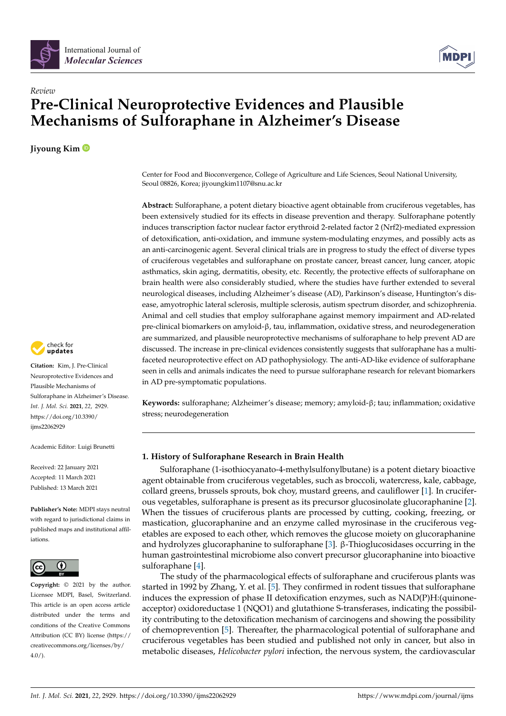

# *Review* **Pre-Clinical Neuroprotective Evidences and Plausible Mechanisms of Sulforaphane in Alzheimer's Disease**

**Jiyoung Kim**



**Citation:** Kim, J. Pre-Clinical Neuroprotective Evidences and Plausible Mechanisms of Sulforaphane in Alzheimer's Disease. *Int. J. Mol. Sci.* **2021**, *22*, 2929. [https://doi.org/10.3390/](https://doi.org/10.3390/ijms22062929) [ijms22062929](https://doi.org/10.3390/ijms22062929)

Academic Editor: Luigi Brunetti

Received: 22 January 2021 Accepted: 11 March 2021 Published: 13 March 2021

**Publisher's Note:** MDPI stays neutral with regard to jurisdictional claims in published maps and institutional affiliations.



**Copyright:** © 2021 by the author. Licensee MDPI, Basel, Switzerland. This article is an open access article distributed under the terms and conditions of the Creative Commons Attribution (CC BY) license (https:/[/](https://creativecommons.org/licenses/by/4.0/) [creativecommons.org/licenses/by/](https://creativecommons.org/licenses/by/4.0/)  $4.0/$ ).

Center for Food and Bioconvergence, College of Agriculture and Life Sciences, Seoul National University, Seoul 08826, Korea; jiyoungkim1107@snu.ac.kr

**Abstract:** Sulforaphane, a potent dietary bioactive agent obtainable from cruciferous vegetables, has been extensively studied for its effects in disease prevention and therapy. Sulforaphane potently induces transcription factor nuclear factor erythroid 2-related factor 2 (Nrf2)-mediated expression of detoxification, anti-oxidation, and immune system-modulating enzymes, and possibly acts as an anti-carcinogenic agent. Several clinical trials are in progress to study the effect of diverse types of cruciferous vegetables and sulforaphane on prostate cancer, breast cancer, lung cancer, atopic asthmatics, skin aging, dermatitis, obesity, etc. Recently, the protective effects of sulforaphane on brain health were also considerably studied, where the studies have further extended to several neurological diseases, including Alzheimer's disease (AD), Parkinson's disease, Huntington's disease, amyotrophic lateral sclerosis, multiple sclerosis, autism spectrum disorder, and schizophrenia. Animal and cell studies that employ sulforaphane against memory impairment and AD-related pre-clinical biomarkers on amyloid-β, tau, inflammation, oxidative stress, and neurodegeneration are summarized, and plausible neuroprotective mechanisms of sulforaphane to help prevent AD are discussed. The increase in pre-clinical evidences consistently suggests that sulforaphane has a multifaceted neuroprotective effect on AD pathophysiology. The anti-AD-like evidence of sulforaphane seen in cells and animals indicates the need to pursue sulforaphane research for relevant biomarkers in AD pre-symptomatic populations.

**Keywords:** sulforaphane; Alzheimer's disease; memory; amyloid-β; tau; inflammation; oxidative stress; neurodegeneration

## **1. History of Sulforaphane Research in Brain Health**

Sulforaphane (1-isothiocyanato-4-methylsulfonylbutane) is a potent dietary bioactive agent obtainable from cruciferous vegetables, such as broccoli, watercress, kale, cabbage, collard greens, brussels sprouts, bok choy, mustard greens, and cauliflower [\[1\]](#page-11-0). In cruciferous vegetables, sulforaphane is present as its precursor glucosinolate glucoraphanine [\[2\]](#page-11-1). When the tissues of cruciferous plants are processed by cutting, cooking, freezing, or mastication, glucoraphanine and an enzyme called myrosinase in the cruciferous vegetables are exposed to each other, which removes the glucose moiety on glucoraphanine and hydrolyzes glucoraphanine to sulforaphane [\[3\]](#page-12-0). β-Thioglucosidases occurring in the human gastrointestinal microbiome also convert precursor glucoraphanine into bioactive sulforaphane [\[4\]](#page-12-1).

The study of the pharmacological effects of sulforaphane and cruciferous plants was started in 1992 by Zhang, Y. et al. [\[5\]](#page-12-2). They confirmed in rodent tissues that sulforaphane induces the expression of phase II detoxification enzymes, such as NAD(P)H:(quinoneacceptor) oxidoreductase 1 (NQO1) and glutathione S-transferases, indicating the possibility contributing to the detoxification mechanism of carcinogens and showing the possibility of chemoprevention [\[5\]](#page-12-2). Thereafter, the pharmacological potential of sulforaphane and cruciferous vegetables has been studied and published not only in cancer, but also in metabolic diseases, *Helicobacter pylori* infection, the nervous system, the cardiovascular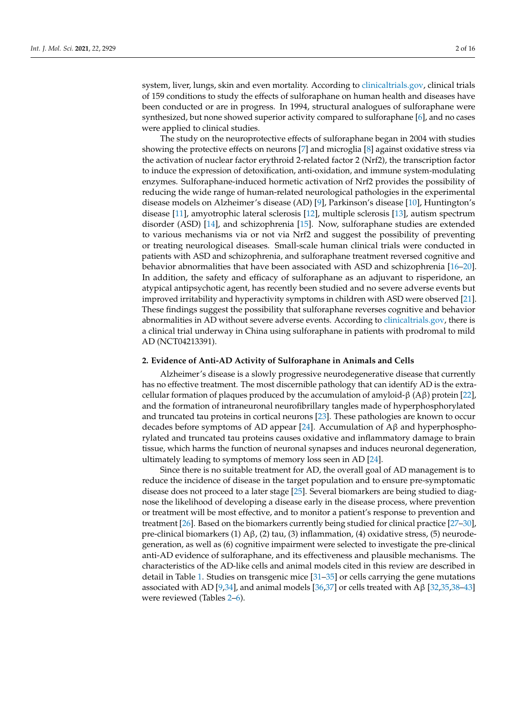system, liver, lungs, skin and even mortality. According to [clinicaltrials.gov,](clinicaltrials.gov) clinical trials of 159 conditions to study the effects of sulforaphane on human health and diseases have been conducted or are in progress. In 1994, structural analogues of sulforaphane were synthesized, but none showed superior activity compared to sulforaphane [\[6\]](#page-12-3), and no cases were applied to clinical studies.

The study on the neuroprotective effects of sulforaphane began in 2004 with studies showing the protective effects on neurons [\[7\]](#page-12-4) and microglia [\[8\]](#page-12-5) against oxidative stress via the activation of nuclear factor erythroid 2-related factor 2 (Nrf2), the transcription factor to induce the expression of detoxification, anti-oxidation, and immune system-modulating enzymes. Sulforaphane-induced hormetic activation of Nrf2 provides the possibility of reducing the wide range of human-related neurological pathologies in the experimental disease models on Alzheimer's disease (AD) [\[9\]](#page-12-6), Parkinson's disease [\[10\]](#page-12-7), Huntington's disease [\[11\]](#page-12-8), amyotrophic lateral sclerosis [\[12\]](#page-12-9), multiple sclerosis [\[13\]](#page-12-10), autism spectrum disorder (ASD) [\[14\]](#page-12-11), and schizophrenia [\[15\]](#page-12-12). Now, sulforaphane studies are extended to various mechanisms via or not via Nrf2 and suggest the possibility of preventing or treating neurological diseases. Small-scale human clinical trials were conducted in patients with ASD and schizophrenia, and sulforaphane treatment reversed cognitive and behavior abnormalities that have been associated with ASD and schizophrenia [\[16](#page-12-13)[–20\]](#page-12-14). In addition, the safety and efficacy of sulforaphane as an adjuvant to risperidone, an atypical antipsychotic agent, has recently been studied and no severe adverse events but improved irritability and hyperactivity symptoms in children with ASD were observed [\[21\]](#page-12-15). These findings suggest the possibility that sulforaphane reverses cognitive and behavior abnormalities in AD without severe adverse events. According to [clinicaltrials.gov,](clinicaltrials.gov) there is a clinical trial underway in China using sulforaphane in patients with prodromal to mild AD (NCT04213391).

## **2. Evidence of Anti-AD Activity of Sulforaphane in Animals and Cells**

Alzheimer's disease is a slowly progressive neurodegenerative disease that currently has no effective treatment. The most discernible pathology that can identify AD is the extracellular formation of plaques produced by the accumulation of amyloid-β (Aβ) protein [\[22\]](#page-12-16), and the formation of intraneuronal neurofibrillary tangles made of hyperphosphorylated and truncated tau proteins in cortical neurons [\[23\]](#page-12-17). These pathologies are known to occur decades before symptoms of AD appear [\[24\]](#page-12-18). Accumulation of  $\mathbf{A}\beta$  and hyperphosphorylated and truncated tau proteins causes oxidative and inflammatory damage to brain tissue, which harms the function of neuronal synapses and induces neuronal degeneration, ultimately leading to symptoms of memory loss seen in AD [\[24\]](#page-12-18).

Since there is no suitable treatment for AD, the overall goal of AD management is to reduce the incidence of disease in the target population and to ensure pre-symptomatic disease does not proceed to a later stage [\[25\]](#page-12-19). Several biomarkers are being studied to diagnose the likelihood of developing a disease early in the disease process, where prevention or treatment will be most effective, and to monitor a patient's response to prevention and treatment [\[26\]](#page-13-0). Based on the biomarkers currently being studied for clinical practice [\[27–](#page-13-1)[30\]](#page-13-2), pre-clinical biomarkers (1) Aβ, (2) tau, (3) inflammation, (4) oxidative stress, (5) neurodegeneration, as well as (6) cognitive impairment were selected to investigate the pre-clinical anti-AD evidence of sulforaphane, and its effectiveness and plausible mechanisms. The characteristics of the AD-like cells and animal models cited in this review are described in detail in Table [1.](#page-3-0) Studies on transgenic mice [\[31–](#page-13-3)[35\]](#page-13-4) or cells carrying the gene mutations associated with AD [\[9,](#page-12-6)[34\]](#page-13-5), and animal models [\[36](#page-13-6)[,37\]](#page-13-7) or cells treated with A $\beta$  [\[32](#page-13-8)[,35,](#page-13-4)[38](#page-13-9)[–43\]](#page-13-10) were reviewed (Tables [2–](#page-4-0)[6\)](#page-9-0).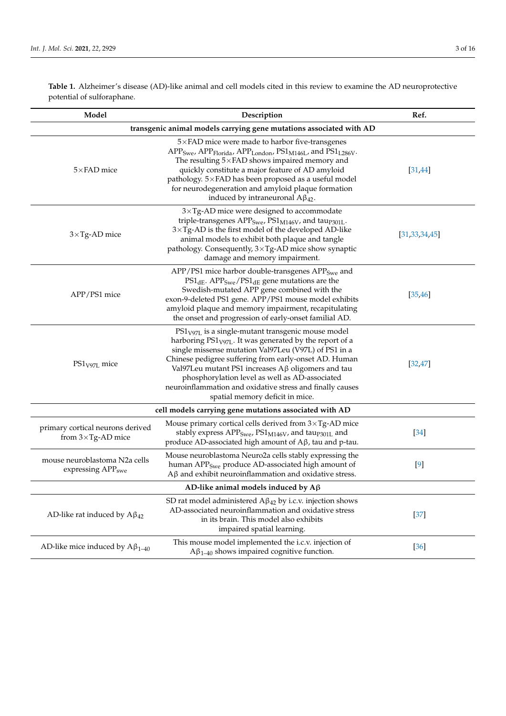**Table 1.** Alzheimer's disease (AD)-like animal and cell models cited in this review to examine the AD neuroprotective potential of sulforaphane.

| Model                                                               | Description                                                                                                                                                                                                                                                                                                                                                                                                                                                  | Ref.             |  |
|---------------------------------------------------------------------|--------------------------------------------------------------------------------------------------------------------------------------------------------------------------------------------------------------------------------------------------------------------------------------------------------------------------------------------------------------------------------------------------------------------------------------------------------------|------------------|--|
| transgenic animal models carrying gene mutations associated with AD |                                                                                                                                                                                                                                                                                                                                                                                                                                                              |                  |  |
| $5\times$ FAD mice                                                  | $5\times$ FAD mice were made to harbor five-transgenes<br>$APPSwe$ , $APPFlorida$ , $APPLondon$ , $PS1M146L$ , and $PS1L286V$ .<br>The resulting $5\times$ FAD shows impaired memory and<br>quickly constitute a major feature of AD amyloid<br>pathology. 5×FAD has been proposed as a useful model<br>for neurodegeneration and amyloid plaque formation<br>induced by intraneuronal $A\beta_{42}$ .                                                       | [31, 44]         |  |
| $3\times$ Tg-AD mice                                                | $3\times$ Tg-AD mice were designed to accommodate<br>triple-transgenes ${\rm APP}_{\rm Swe}$ , ${\rm P}{\rm S1}_{{\rm M146V}}$ , and ${\rm ta}{\rm up}_{\rm 301L}.$<br>$3 \times Tg$ -AD is the first model of the developed AD-like<br>animal models to exhibit both plaque and tangle<br>pathology. Consequently, $3 \times Tg$ -AD mice show synaptic<br>damage and memory impairment.                                                                    | [31, 33, 34, 45] |  |
| APP/PS1 mice                                                        | APP/PS1 mice harbor double-transgenes APP <sub>Swe</sub> and<br>$PS1_{\text{dE}}$ . APP <sub>Swe</sub> /PS1 <sub>dE</sub> gene mutations are the<br>Swedish-mutated APP gene combined with the<br>exon-9-deleted PS1 gene. APP/PS1 mouse model exhibits<br>amyloid plaque and memory impairment, recapitulating<br>the onset and progression of early-onset familial AD.                                                                                     | [35, 46]         |  |
| $PS1V97L$ mice                                                      | $PS1_{V97L}$ is a single-mutant transgenic mouse model<br>harboring PS1 <sub>V97L</sub> . It was generated by the report of a<br>single missense mutation Val97Leu (V97L) of PS1 in a<br>Chinese pedigree suffering from early-onset AD. Human<br>Val97Leu mutant PS1 increases $A\beta$ oligomers and tau<br>phosphorylation level as well as AD-associated<br>neuroinflammation and oxidative stress and finally causes<br>spatial memory deficit in mice. | [32, 47]         |  |
|                                                                     | cell models carrying gene mutations associated with AD                                                                                                                                                                                                                                                                                                                                                                                                       |                  |  |
| primary cortical neurons derived<br>from $3 \times Tg$ -AD mice     | Mouse primary cortical cells derived from $3 \times Tg$ -AD mice<br>stably express APP <sub>Swe</sub> , PS1 <sub>M146V</sub> , and tau <sub>P301L</sub> and<br>produce AD-associated high amount of $A\beta$ , tau and p-tau.                                                                                                                                                                                                                                | $[34]$           |  |
| mouse neuroblastoma N2a cells<br>expressing APP <sub>swe</sub>      | Mouse neuroblastoma Neuro2a cells stably expressing the<br>human APP <sub>Swe</sub> produce AD-associated high amount of<br>$A\beta$ and exhibit neuroinflammation and oxidative stress.                                                                                                                                                                                                                                                                     | $[9]$            |  |
| AD-like animal models induced by $A\beta$                           |                                                                                                                                                                                                                                                                                                                                                                                                                                                              |                  |  |
| AD-like rat induced by $A\beta_{42}$                                | SD rat model administered $A\beta_{42}$ by i.c.v. injection shows<br>AD-associated neuroinflammation and oxidative stress<br>in its brain. This model also exhibits<br>impaired spatial learning.                                                                                                                                                                                                                                                            | $[37]$           |  |
| AD-like mice induced by $A\beta_{1-40}$                             | This mouse model implemented the i.c.v. injection of<br>$A\beta_{1-40}$ shows impaired cognitive function.                                                                                                                                                                                                                                                                                                                                                   | $[36]$           |  |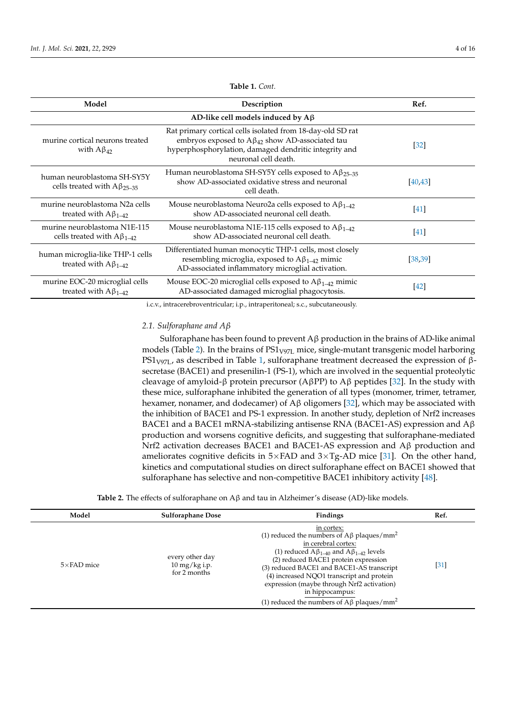<span id="page-3-0"></span>

| Model                                                              | Description                                                                                                                                                                                            | Ref.              |  |
|--------------------------------------------------------------------|--------------------------------------------------------------------------------------------------------------------------------------------------------------------------------------------------------|-------------------|--|
| AD-like cell models induced by $A\beta$                            |                                                                                                                                                                                                        |                   |  |
| murine cortical neurons treated<br>with $A\beta_{42}$              | Rat primary cortical cells isolated from 18-day-old SD rat<br>embryos exposed to $A\beta_{42}$ show AD-associated tau<br>hyperphosphorylation, damaged dendritic integrity and<br>neuronal cell death. | $\left[32\right]$ |  |
| human neuroblastoma SH-SY5Y<br>cells treated with $A\beta_{25-35}$ | Human neuroblastoma SH-SY5Y cells exposed to $A\beta_{25-35}$<br>show AD-associated oxidative stress and neuronal<br>cell death.                                                                       | [40, 43]          |  |
| murine neuroblastoma N2a cells<br>treated with $A\beta_{1-42}$     | Mouse neuroblastoma Neuro2a cells exposed to $A\beta_{1-42}$<br>show AD-associated neuronal cell death.                                                                                                | [41]              |  |
| murine neuroblastoma N1E-115<br>cells treated with $A\beta_{1-42}$ | Mouse neuroblastoma N1E-115 cells exposed to $A\beta_{1-42}$<br>show AD-associated neuronal cell death.                                                                                                | $[41]$            |  |
| human microglia-like THP-1 cells<br>treated with $A\beta_{1-42}$   | Differentiated human monocytic THP-1 cells, most closely<br>resembling microglia, exposed to $A\beta_{1-42}$ mimic<br>AD-associated inflammatory microglial activation.                                | [38, 39]          |  |
| murine EOC-20 microglial cells<br>treated with $A\beta_{1-42}$     | Mouse EOC-20 microglial cells exposed to $A\beta_{1-42}$ mimic<br>AD-associated damaged microglial phagocytosis.                                                                                       | $[42]$            |  |

**Table 1.** *Cont.*

i.c.v., intracerebroventricular; i.p., intraperitoneal; s.c., subcutaneously.

## *2.1. Sulforaphane and Aβ*

Sulforaphane has been found to prevent Aβ production in the brains of AD-like animal models (Table [2\)](#page-4-0). In the brains of  $PS1<sub>V97L</sub>$  mice, single-mutant transgenic model harboring PS1<sub>V97L</sub>, as described in Table [1,](#page-3-0) sulforaphane treatment decreased the expression of βsecretase (BACE1) and presenilin-1 (PS-1), which are involved in the sequential proteolytic cleavage of amyloid-β protein precursor (AβPP) to Aβ peptides [\[32\]](#page-13-8). In the study with these mice, sulforaphane inhibited the generation of all types (monomer, trimer, tetramer, hexamer, nonamer, and dodecamer) of  $Aβ$  oligomers [\[32\]](#page-13-8), which may be associated with the inhibition of BACE1 and PS-1 expression. In another study, depletion of Nrf2 increases BACE1 and a BACE1 mRNA-stabilizing antisense RNA (BACE1-AS) expression and  $A\beta$ production and worsens cognitive deficits, and suggesting that sulforaphane-mediated Nrf2 activation decreases BACE1 and BACE1-AS expression and Aβ production and ameliorates cognitive deficits in  $5\times$  FAD and  $3\times$  Tg-AD mice [\[31\]](#page-13-3). On the other hand, kinetics and computational studies on direct sulforaphane effect on BACE1 showed that sulforaphane has selective and non-competitive BACE1 inhibitory activity [\[48\]](#page-13-20).

|  |  |  | Table 2. The effects of sulforaphane on $A\beta$ and tau in Alzheimer's disease (AD)-like models. |  |  |
|--|--|--|---------------------------------------------------------------------------------------------------|--|--|
|--|--|--|---------------------------------------------------------------------------------------------------|--|--|

| Model              | <b>Sulforaphane Dose</b>                                      | <b>Findings</b>                                                                                                                                                                                                                                                                                                                                                                                                                | Ref.   |
|--------------------|---------------------------------------------------------------|--------------------------------------------------------------------------------------------------------------------------------------------------------------------------------------------------------------------------------------------------------------------------------------------------------------------------------------------------------------------------------------------------------------------------------|--------|
| $5\times$ FAD mice | every other day<br>$10 \,\mathrm{mg/kg}$ i.p.<br>for 2 months | in cortex:<br>(1) reduced the numbers of A $\beta$ plaques/mm <sup>2</sup><br>in cerebral cortex:<br>(1) reduced $A\beta_{1-40}$ and $A\beta_{1-42}$ levels<br>(2) reduced BACE1 protein expression<br>(3) reduced BACE1 and BACE1-AS transcript<br>(4) increased NQO1 transcript and protein<br>expression (maybe through Nrf2 activation)<br>in hippocampus:<br>(1) reduced the numbers of A $\beta$ plaques/mm <sup>2</sup> | $[31]$ |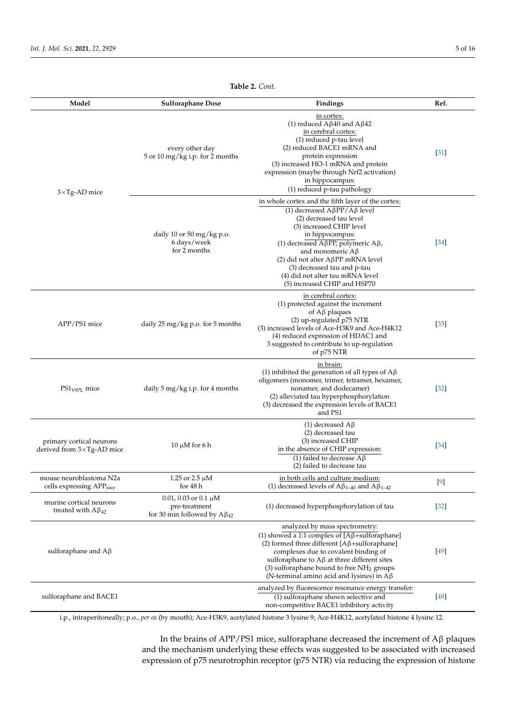<span id="page-4-0"></span>

| Model                                                           | <b>Sulforaphane Dose</b>                                                                | Findings                                                                                                                                                                                                                                                                                                                                                                                      | Ref.              |
|-----------------------------------------------------------------|-----------------------------------------------------------------------------------------|-----------------------------------------------------------------------------------------------------------------------------------------------------------------------------------------------------------------------------------------------------------------------------------------------------------------------------------------------------------------------------------------------|-------------------|
| $3\times$ Tg-AD mice                                            | every other day<br>5 or 10 mg/kg i.p. for 2 months                                      | in cortex:<br>(1) reduced $A\beta40$ and $A\beta42$<br>in cerebral cortex:<br>(1) reduced p-tau level<br>(2) reduced BACE1 mRNA and<br>protein expression<br>(3) increased HO-1 mRNA and protein<br>expression (maybe through Nrf2 activation)<br>in hippocampus:<br>(1) reduced p-tau pathology                                                                                              | $[31]$            |
|                                                                 | daily 10 or 50 mg/kg p.o.<br>6 days/week<br>for 2 months                                | in whole cortex and the fifth layer of the cortex:<br>(1) decreased $A\beta PP/A\beta$ level<br>(2) decreased tau level<br>(3) increased CHIP level<br>in hippocampus:<br>(1) decreased A $\beta$ PP, polymeric A $\beta$ ,<br>and monomeric $A\beta$<br>(2) did not alter AβPP mRNA level<br>(3) decreased tau and p-tau<br>(4) did not alter tau mRNA level<br>(5) increased CHIP and HSP70 | $\left[34\right]$ |
| APP/PS1 mice                                                    | daily 25 mg/kg p.o. for 5 months                                                        | in cerebral cortex:<br>(1) protected against the increment<br>of $A\beta$ plaques<br>(2) up-regulated p75 NTR<br>(3) increased levels of Ace-H3K9 and Ace-H4K12<br>(4) reduced expression of HDAC1 and<br>3 suggested to contribute to up-regulation<br>of p75 NTR                                                                                                                            | $[35]$            |
| $PS1V97L$ mice                                                  | daily 5 mg/kg i.p. for 4 months                                                         | in brain:<br>(1) inhibited the generation of all types of $A\beta$<br>oligomers (monomer, trimer, tetramer, hexamer,<br>nonamer, and dodecamer)<br>(2) alleviated tau hyperphosphorylation<br>(3) decreased the expression levels of BACE1<br>and PS1                                                                                                                                         | $[32]$            |
| primary cortical neurons<br>derived from $3 \times Tg$ -AD mice | $10 \mu M$ for 6 h                                                                      | (1) decreased $A\beta$<br>(2) decreased tau<br>(3) increased CHIP<br>in the absence of CHIP expression:<br>(1) failed to decrease $A\beta$<br>(2) failed to decrease tau                                                                                                                                                                                                                      | $[34]$            |
| mouse neuroblastoma N2a<br>cells expressing APP <sub>swe</sub>  | 1.25 or 2.5 $\mu$ M<br>for 48 h                                                         | in both cells and culture medium:<br>(1) decreased levels of $A\beta_{1-40}$ and $A\beta_{1-42}$                                                                                                                                                                                                                                                                                              | $[9]$             |
| murine cortical neurons<br>treated with $A\beta_{42}$           | $0.01$ , $0.03$ or $0.1 \mu M$<br>pre-treatment<br>for 30 min followed by $A\beta_{42}$ | (1) decreased hyperphosphorylation of tau                                                                                                                                                                                                                                                                                                                                                     | $[32]$            |
| sulforaphane and $A\beta$                                       |                                                                                         | analyzed by mass spectrometry:<br>(1) showed a 1:1 complex of $[A\beta + \text{sulforaphane}]$<br>(2) formed three different $[A\beta + \text{sulforaphane}]$<br>complexes due to covalent binding of<br>sulforaphane to $A\beta$ at three different sites<br>(3) sulforaphane bound to free $NH2$ groups<br>(N-terminal amino acid and lysines) in $A\beta$                                  | [49]              |
| sulforaphane and BACE1                                          |                                                                                         | analyzed by fluorescence resonance energy transfer:<br>(1) sulforaphane shown selective and<br>non-competitive BACE1 inhibitory activity                                                                                                                                                                                                                                                      | [48]              |

**Table 2.** *Cont.*

i.p., intraperitoneally; p.o., *per os* (by mouth); Ace-H3K9, acetylated histone 3 lysine 9; Ace-H4K12, acetylated histone 4 lysine 12.

In the brains of APP/PS1 mice, sulforaphane decreased the increment of Aβ plaques and the mechanism underlying these effects was suggested to be associated with increased expression of p75 neurotrophin receptor (p75 NTR) via reducing the expression of histone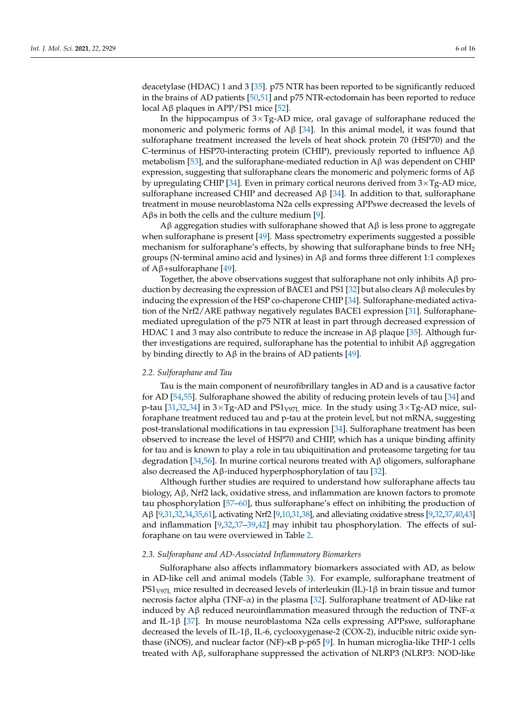deacetylase (HDAC) 1 and 3 [\[35\]](#page-13-4). p75 NTR has been reported to be significantly reduced in the brains of AD patients [\[50](#page-13-22)[,51\]](#page-14-0) and p75 NTR-ectodomain has been reported to reduce local Aβ plaques in APP/PS1 mice [\[52\]](#page-14-1).

In the hippocampus of  $3 \times Tg$ -AD mice, oral gavage of sulforaphane reduced the monomeric and polymeric forms of A $\beta$  [\[34\]](#page-13-5). In this animal model, it was found that sulforaphane treatment increased the levels of heat shock protein 70 (HSP70) and the C-terminus of HSP70-interacting protein (CHIP), previously reported to influence Aβ metabolism [\[53\]](#page-14-2), and the sulforaphane-mediated reduction in  $\Lambda$ β was dependent on CHIP expression, suggesting that sulforaphane clears the monomeric and polymeric forms of  $A\beta$ by upregulating CHIP [\[34\]](#page-13-5). Even in primary cortical neurons derived from  $3 \times Tg$ -AD mice, sulforaphane increased CHIP and decreased A $\beta$  [\[34\]](#page-13-5). In addition to that, sulforaphane treatment in mouse neuroblastoma N2a cells expressing APPswe decreased the levels of Aβs in both the cells and the culture medium [\[9\]](#page-12-6).

Aβ aggregation studies with sulforaphane showed that  $\Lambda$ β is less prone to aggregate when sulforaphane is present [\[49\]](#page-13-21). Mass spectrometry experiments suggested a possible mechanism for sulforaphane's effects, by showing that sulforaphane binds to free  $NH<sub>2</sub>$ groups (N-terminal amino acid and lysines) in  $\mathbf{A}\beta$  and forms three different 1:1 complexes of Aβ+sulforaphane [\[49\]](#page-13-21).

Together, the above observations suggest that sulforaphane not only inhibits  $A\beta$  pro-duction by decreasing the expression of BACE1 and PS1 [\[32\]](#page-13-8) but also clears  $A\beta$  molecules by inducing the expression of the HSP co-chaperone CHIP [\[34\]](#page-13-5). Sulforaphane-mediated activation of the Nrf2/ARE pathway negatively regulates BACE1 expression [\[31\]](#page-13-3). Sulforaphanemediated upregulation of the p75 NTR at least in part through decreased expression of HDAC 1 and 3 may also contribute to reduce the increase in  $A\beta$  plaque [\[35\]](#page-13-4). Although further investigations are required, sulforaphane has the potential to inhibit  $A\beta$  aggregation by binding directly to  $A\beta$  in the brains of AD patients [\[49\]](#page-13-21).

### *2.2. Sulforaphane and Tau*

Tau is the main component of neurofibrillary tangles in AD and is a causative factor for AD [\[54,](#page-14-3)[55\]](#page-14-4). Sulforaphane showed the ability of reducing protein levels of tau [\[34\]](#page-13-5) and p-tau [\[31](#page-13-3)[,32](#page-13-8)[,34\]](#page-13-5) in  $3\times$ Tg-AD and PS1<sub>V97L</sub> mice. In the study using  $3\times$ Tg-AD mice, sulforaphane treatment reduced tau and p-tau at the protein level, but not mRNA, suggesting post-translational modifications in tau expression [\[34\]](#page-13-5). Sulforaphane treatment has been observed to increase the level of HSP70 and CHIP, which has a unique binding affinity for tau and is known to play a role in tau ubiquitination and proteasome targeting for tau degradation [\[34,](#page-13-5)[56\]](#page-14-5). In murine cortical neurons treated with A $\beta$  oligomers, sulforaphane also decreased the A $\beta$ -induced hyperphosphorylation of tau [\[32\]](#page-13-8).

Although further studies are required to understand how sulforaphane affects tau biology, Aβ, Nrf2 lack, oxidative stress, and inflammation are known factors to promote tau phosphorylation [\[57–](#page-14-6)[60\]](#page-14-7), thus sulforaphane's effect on inhibiting the production of Aβ [\[9,](#page-12-6)[31](#page-13-3)[,32,](#page-13-8)[34](#page-13-5)[,35](#page-13-4)[,61\]](#page-14-8), activating Nrf2 [\[9,](#page-12-6)[10](#page-12-7)[,31,](#page-13-3)[38\]](#page-13-9), and alleviating oxidative stress [\[9](#page-12-6)[,32](#page-13-8)[,37,](#page-13-7)[40,](#page-13-16)[43\]](#page-13-10) and inflammation [\[9](#page-12-6)[,32](#page-13-8)[,37–](#page-13-7)[39,](#page-13-18)[42\]](#page-13-19) may inhibit tau phosphorylation. The effects of sulforaphane on tau were overviewed in Table [2.](#page-4-0)

## *2.3. Sulforaphane and AD-Associated Inflammatory Biomarkers*

Sulforaphane also affects inflammatory biomarkers associated with AD, as below in AD-like cell and animal models (Table [3\)](#page-6-0). For example, sulforaphane treatment of PS1<sub>V97L</sub> mice resulted in decreased levels of interleukin (IL)-1β in brain tissue and tumor necrosis factor alpha (TNF- $\alpha$ ) in the plasma [\[32\]](#page-13-8). Sulforaphane treatment of AD-like rat induced by  $A\beta$  reduced neuroinflammation measured through the reduction of TNF- $\alpha$ and IL-1β [\[37\]](#page-13-7). In mouse neuroblastoma N2a cells expressing APPswe, sulforaphane decreased the levels of IL-1β, IL-6, cyclooxygenase-2 (COX-2), inducible nitric oxide synthase (iNOS), and nuclear factor (NF)-κB p-p65 [\[9\]](#page-12-6). In human microglia-like THP-1 cells treated with Aβ, sulforaphane suppressed the activation of NLRP3 (NLRP3: NOD-like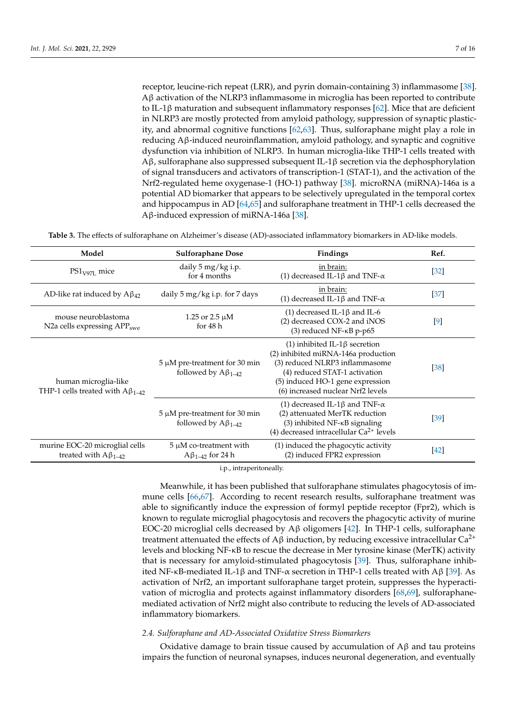receptor, leucine-rich repeat (LRR), and pyrin domain-containing 3) inflammasome [\[38\]](#page-13-9). Aβ activation of the NLRP3 inflammasome in microglia has been reported to contribute to IL-1 $\beta$  maturation and subsequent inflammatory responses [\[62\]](#page-14-9). Mice that are deficient in NLRP3 are mostly protected from amyloid pathology, suppression of synaptic plasticity, and abnormal cognitive functions [\[62,](#page-14-9)[63\]](#page-14-10). Thus, sulforaphane might play a role in reducing Aβ-induced neuroinflammation, amyloid pathology, and synaptic and cognitive dysfunction via inhibition of NLRP3. In human microglia-like THP-1 cells treated with Aβ, sulforaphane also suppressed subsequent IL-1β secretion via the dephosphorylation of signal transducers and activators of transcription-1 (STAT-1), and the activation of the Nrf2-regulated heme oxygenase-1 (HO-1) pathway [\[38\]](#page-13-9). microRNA (miRNA)-146a is a potential AD biomarker that appears to be selectively upregulated in the temporal cortex and hippocampus in AD [\[64](#page-14-11)[,65\]](#page-14-12) and sulforaphane treatment in THP-1 cells decreased the Aβ-induced expression of miRNA-146a [\[38\]](#page-13-9).

<span id="page-6-0"></span>**Table 3.** The effects of sulforaphane on Alzheimer's disease (AD)-associated inflammatory biomarkers in AD-like models.

| Model                                                            | <b>Sulforaphane Dose</b>                                          | Findings                                                                                                                                                                                                                  | Ref.   |
|------------------------------------------------------------------|-------------------------------------------------------------------|---------------------------------------------------------------------------------------------------------------------------------------------------------------------------------------------------------------------------|--------|
| $PS1_{V97L}$ mice                                                | daily 5 mg/kg i.p.<br>for 4 months                                | in brain:<br>(1) decreased IL-1 $\beta$ and TNF- $\alpha$                                                                                                                                                                 | $[32]$ |
| AD-like rat induced by $A\beta_{42}$                             | daily 5 mg/kg i.p. for 7 days                                     | in brain:<br>(1) decreased IL-1 $\beta$ and TNF- $\alpha$                                                                                                                                                                 | $[37]$ |
| mouse neuroblastoma<br>N2a cells expressing APP <sub>swe</sub>   | 1.25 or 2.5 $\mu$ M<br>for $48h$                                  | (1) decreased IL-1 $\beta$ and IL-6<br>(2) decreased COX-2 and iNOS<br>(3) reduced NF-KB p-p65                                                                                                                            | [9]    |
| human microglia-like<br>THP-1 cells treated with $A\beta_{1-42}$ | $5 \mu M$ pre-treatment for 30 min<br>followed by $A\beta_{1-42}$ | $(1)$ inhibited IL-1 $\beta$ secretion<br>(2) inhibited miRNA-146a production<br>(3) reduced NLRP3 inflammasome<br>(4) reduced STAT-1 activation<br>(5) induced HO-1 gene expression<br>(6) increased nuclear Nrf2 levels | $[38]$ |
|                                                                  | $5 \mu M$ pre-treatment for 30 min<br>followed by $A\beta_{1-42}$ | (1) decreased IL-1 $\beta$ and TNF- $\alpha$<br>(2) attenuated MerTK reduction<br>$(3)$ inhibited NF- $\kappa$ B signaling<br>(4) decreased intracellular $Ca^{2+}$ levels                                                | $[39]$ |
| murine EOC-20 microglial cells<br>treated with $A\beta_{1-42}$   | $5 \mu M$ co-treatment with<br>$A\beta_{1-42}$ for 24 h           | (1) induced the phagocytic activity<br>(2) induced FPR2 expression                                                                                                                                                        | $[42]$ |
|                                                                  |                                                                   |                                                                                                                                                                                                                           |        |

i.p., intraperitoneally.

Meanwhile, it has been published that sulforaphane stimulates phagocytosis of immune cells [\[66,](#page-14-13)[67\]](#page-14-14). According to recent research results, sulforaphane treatment was able to significantly induce the expression of formyl peptide receptor (Fpr2), which is known to regulate microglial phagocytosis and recovers the phagocytic activity of murine EOC-20 microglial cells decreased by  $\mathcal{A}\beta$  oligomers [\[42\]](#page-13-19). In THP-1 cells, sulforaphane treatment attenuated the effects of Aβ induction, by reducing excessive intracellular  $Ca^{2+}$ levels and blocking NF-κB to rescue the decrease in Mer tyrosine kinase (MerTK) activity that is necessary for amyloid-stimulated phagocytosis [\[39\]](#page-13-18). Thus, sulforaphane inhibited NF-κB-mediated IL-1β and TNF- $\alpha$  secretion in THP-1 cells treated with Aβ [\[39\]](#page-13-18). As activation of Nrf2, an important sulforaphane target protein, suppresses the hyperactivation of microglia and protects against inflammatory disorders [\[68](#page-14-15)[,69\]](#page-14-16), sulforaphanemediated activation of Nrf2 might also contribute to reducing the levels of AD-associated inflammatory biomarkers.

### *2.4. Sulforaphane and AD-Associated Oxidative Stress Biomarkers*

Oxidative damage to brain tissue caused by accumulation of  $\mathbf{A}\beta$  and tau proteins impairs the function of neuronal synapses, induces neuronal degeneration, and eventually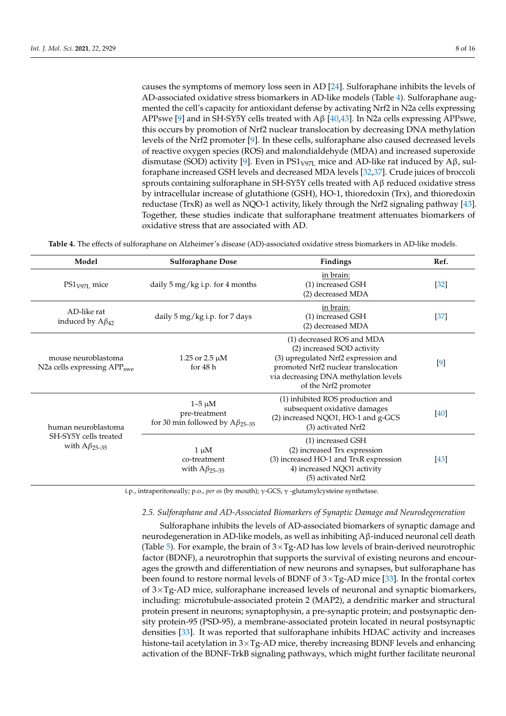causes the symptoms of memory loss seen in AD [\[24\]](#page-12-18). Sulforaphane inhibits the levels of AD-associated oxidative stress biomarkers in AD-like models (Table [4\)](#page-7-0). Sulforaphane augmented the cell's capacity for antioxidant defense by activating Nrf2 in N2a cells expressing APPswe [\[9\]](#page-12-6) and in SH-SY5Y cells treated with Aβ [\[40](#page-13-16)[,43\]](#page-13-10). In N2a cells expressing APPswe, this occurs by promotion of Nrf2 nuclear translocation by decreasing DNA methylation levels of the Nrf2 promoter [\[9\]](#page-12-6). In these cells, sulforaphane also caused decreased levels of reactive oxygen species (ROS) and malondialdehyde (MDA) and increased superoxide dismutase (SOD) activity [\[9\]](#page-12-6). Even in PS1<sub>V97L</sub> mice and AD-like rat induced by A $\beta$ , sulforaphane increased GSH levels and decreased MDA levels [\[32](#page-13-8)[,37\]](#page-13-7). Crude juices of broccoli sprouts containing sulforaphane in SH-SY5Y cells treated with Aβ reduced oxidative stress by intracellular increase of glutathione (GSH), HO-1, thioredoxin (Trx), and thioredoxin reductase (TrxR) as well as NQO-1 activity, likely through the Nrf2 signaling pathway [\[43\]](#page-13-10). Together, these studies indicate that sulforaphane treatment attenuates biomarkers of oxidative stress that are associated with AD.

**Table 4.** The effects of sulforaphane on Alzheimer's disease (AD)-associated oxidative stress biomarkers in AD-like models.

<span id="page-7-0"></span>

| Model                                                                 | <b>Sulforaphane Dose</b>                                                | Findings                                                                                                                                                                                               | Ref.   |
|-----------------------------------------------------------------------|-------------------------------------------------------------------------|--------------------------------------------------------------------------------------------------------------------------------------------------------------------------------------------------------|--------|
| $PS1V971$ mice                                                        | daily 5 mg/kg i.p. for 4 months                                         | in brain:<br>(1) increased GSH<br>(2) decreased MDA                                                                                                                                                    | $[32]$ |
| AD-like rat<br>induced by $A\beta_{42}$                               | daily 5 mg/kg i.p. for 7 days                                           | in brain:<br>(1) increased GSH<br>(2) decreased MDA                                                                                                                                                    | $[37]$ |
| mouse neuroblastoma<br>N2a cells expressing APP <sub>swe</sub>        | 1.25 or 2.5 $\mu$ M<br>for $48h$                                        | (1) decreased ROS and MDA<br>(2) increased SOD activity<br>(3) upregulated Nrf2 expression and<br>promoted Nrf2 nuclear translocation<br>via decreasing DNA methylation levels<br>of the Nrf2 promoter | [9]    |
| human neuroblastoma<br>SH-SY5Y cells treated<br>with $A\beta_{25-35}$ | $1-5 \mu M$<br>pre-treatment<br>for 30 min followed by $A\beta_{25-35}$ | (1) inhibited ROS production and<br>subsequent oxidative damages<br>(2) increased NQO1, HO-1 and g-GCS<br>(3) activated Nrf2                                                                           | [40]   |
|                                                                       | $1 \mu M$<br>co-treatment<br>with $A\beta_{25-35}$                      | (1) increased GSH<br>(2) increased Trx expression<br>(3) increased HO-1 and TrxR expression<br>4) increased NQO1 activity<br>(5) activated Nrf2                                                        | [43]   |

i.p., intraperitoneally; p.o., *per os* (by mouth); γ-GCS, γ -glutamylcysteine synthetase.

## *2.5. Sulforaphane and AD-Associated Biomarkers of Synaptic Damage and Neurodegeneration*

Sulforaphane inhibits the levels of AD-associated biomarkers of synaptic damage and neurodegeneration in AD-like models, as well as inhibiting Aβ-induced neuronal cell death (Table [5\)](#page-8-0). For example, the brain of  $3 \times Tg$ -AD has low levels of brain-derived neurotrophic factor (BDNF), a neurotrophin that supports the survival of existing neurons and encourages the growth and differentiation of new neurons and synapses, but sulforaphane has been found to restore normal levels of BDNF of  $3 \times Tg$ -AD mice [\[33\]](#page-13-12). In the frontal cortex of 3×Tg-AD mice, sulforaphane increased levels of neuronal and synaptic biomarkers, including: microtubule-associated protein 2 (MAP2), a dendritic marker and structural protein present in neurons; synaptophysin, a pre-synaptic protein; and postsynaptic density protein-95 (PSD-95), a membrane-associated protein located in neural postsynaptic densities [\[33\]](#page-13-12). It was reported that sulforaphane inhibits HDAC activity and increases histone-tail acetylation in  $3 \times Tg$ -AD mice, thereby increasing BDNF levels and enhancing activation of the BDNF-TrkB signaling pathways, which might further facilitate neuronal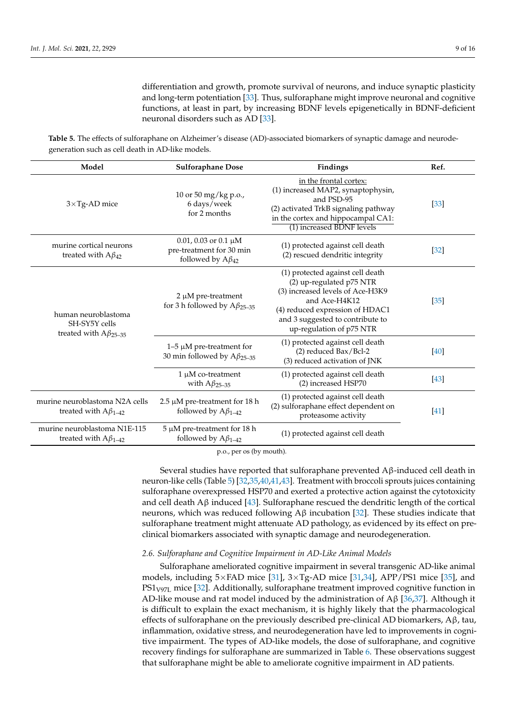differentiation and growth, promote survival of neurons, and induce synaptic plasticity and long-term potentiation [\[33\]](#page-13-12). Thus, sulforaphane might improve neuronal and cognitive functions, at least in part, by increasing BDNF levels epigenetically in BDNF-deficient neuronal disorders such as AD [\[33\]](#page-13-12).

<span id="page-8-0"></span>**Table 5.** The effects of sulforaphane on Alzheimer's disease (AD)-associated biomarkers of synaptic damage and neurodegeneration such as cell death in AD-like models.

| Model                                                                 | <b>Sulforaphane Dose</b>                                                           | Findings                                                                                                                                                                                                             | Ref.   |
|-----------------------------------------------------------------------|------------------------------------------------------------------------------------|----------------------------------------------------------------------------------------------------------------------------------------------------------------------------------------------------------------------|--------|
| $3\times$ Tg-AD mice                                                  | 10 or 50 mg/kg p.o.,<br>6 days/week<br>for 2 months                                | in the frontal cortex:<br>(1) increased MAP2, synaptophysin,<br>and PSD-95<br>(2) activated TrkB signaling pathway<br>in the cortex and hippocampal CA1:<br>(1) increased BDNF levels                                | $[33]$ |
| murine cortical neurons<br>treated with $A\beta_{42}$                 | 0.01, 0.03 or 0.1 $\mu$ M<br>pre-treatment for 30 min<br>followed by $A\beta_{42}$ | (1) protected against cell death<br>(2) rescued dendritic integrity                                                                                                                                                  | $[32]$ |
| human neuroblastoma<br>SH-SY5Y cells<br>treated with $A\beta_{25-35}$ | $2 \mu M$ pre-treatment<br>for 3 h followed by $A\beta_{25-35}$                    | (1) protected against cell death<br>(2) up-regulated p75 NTR<br>(3) increased levels of Ace-H3K9<br>and Ace-H4K12<br>(4) reduced expression of HDAC1<br>and 3 suggested to contribute to<br>up-regulation of p75 NTR | [35]   |
|                                                                       | $1-5 \mu M$ pre-treatment for<br>30 min followed by $A\beta_{25-35}$               | (1) protected against cell death<br>$(2)$ reduced Bax/Bcl-2<br>(3) reduced activation of JNK                                                                                                                         | $[40]$ |
|                                                                       | $1 \mu M$ co-treatment<br>with $A\beta_{25-35}$                                    | (1) protected against cell death<br>(2) increased HSP70                                                                                                                                                              | $[43]$ |
| murine neuroblastoma N2A cells<br>treated with $A\beta_{1-42}$        | $2.5 \mu M$ pre-treatment for 18 h<br>followed by $A\beta_{1-42}$                  | (1) protected against cell death<br>(2) sulforaphane effect dependent on<br>proteasome activity                                                                                                                      | $[41]$ |
| murine neuroblastoma N1E-115<br>treated with $A\beta_{1-42}$          | $5 \mu M$ pre-treatment for 18 h<br>followed by $A\beta_{1-42}$                    | (1) protected against cell death                                                                                                                                                                                     |        |

p.o., per os (by mouth).

Several studies have reported that sulforaphane prevented Aβ-induced cell death in neuron-like cells (Table [5\)](#page-8-0) [\[32](#page-13-8)[,35,](#page-13-4)[40,](#page-13-16)[41,](#page-13-17)[43\]](#page-13-10). Treatment with broccoli sprouts juices containing sulforaphane overexpressed HSP70 and exerted a protective action against the cytotoxicity and cell death  $A\beta$  induced [\[43\]](#page-13-10). Sulforaphane rescued the dendritic length of the cortical neurons, which was reduced following  $\Lambda$ β incubation [\[32\]](#page-13-8). These studies indicate that sulforaphane treatment might attenuate AD pathology, as evidenced by its effect on preclinical biomarkers associated with synaptic damage and neurodegeneration.

## *2.6. Sulforaphane and Cognitive Impairment in AD-Like Animal Models*

Sulforaphane ameliorated cognitive impairment in several transgenic AD-like animal models, including  $5\times$ FAD mice [\[31\]](#page-13-3),  $3\times$ Tg-AD mice [\[31](#page-13-3)[,34\]](#page-13-5), APP/PS1 mice [\[35\]](#page-13-4), and PS1<sub>V97L</sub> mice [\[32\]](#page-13-8). Additionally, sulforaphane treatment improved cognitive function in AD-like mouse and rat model induced by the administration of A $\beta$  [\[36,](#page-13-6)[37\]](#page-13-7). Although it is difficult to explain the exact mechanism, it is highly likely that the pharmacological effects of sulforaphane on the previously described pre-clinical AD biomarkers,  $A\beta$ , tau, inflammation, oxidative stress, and neurodegeneration have led to improvements in cognitive impairment. The types of AD-like models, the dose of sulforaphane, and cognitive recovery findings for sulforaphane are summarized in Table [6.](#page-9-0) These observations suggest that sulforaphane might be able to ameliorate cognitive impairment in AD patients.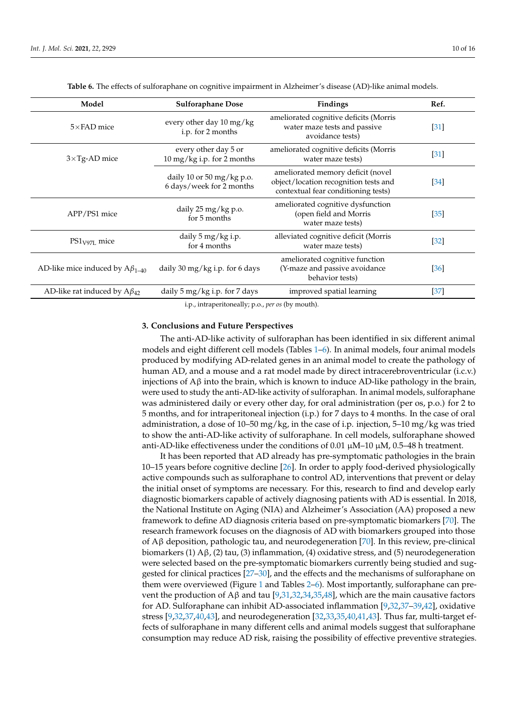<span id="page-9-0"></span>

| Model                                   | <b>Sulforaphane Dose</b>                                | Findings                                                                                                          | Ref.   |
|-----------------------------------------|---------------------------------------------------------|-------------------------------------------------------------------------------------------------------------------|--------|
| $5\times$ FAD mice                      | every other day 10 mg/kg<br>i.p. for 2 months           | ameliorated cognitive deficits (Morris<br>water maze tests and passive<br>avoidance tests)                        | [31]   |
| $3\times$ Tg-AD mice                    | every other day 5 or<br>10 mg/kg i.p. for 2 months      | ameliorated cognitive deficits (Morris<br>water maze tests)                                                       | [31]   |
|                                         | daily 10 or 50 mg/kg p.o.<br>6 days/week for 2 months   | ameliorated memory deficit (novel<br>object/location recognition tests and<br>contextual fear conditioning tests) | $[34]$ |
| APP/PS1 mice                            | daily 25 mg/kg p.o.<br>for 5 months                     | ameliorated cognitive dysfunction<br>(open field and Morris<br>water maze tests)                                  | $[35]$ |
| $PS1_{V97L}$ mice                       | daily 5 mg/kg i.p.<br>for 4 months                      | alleviated cognitive deficit (Morris<br>water maze tests)                                                         | $[32]$ |
| AD-like mice induced by $A\beta_{1-40}$ | daily 30 mg/kg i.p. for 6 days                          | ameliorated cognitive function<br>(Y-maze and passive avoidance<br>behavior tests)                                | [36]   |
| AD-like rat induced by $A\beta_{42}$    | daily $5 \,\mathrm{mg/kg}$ i.p. for $7 \,\mathrm{days}$ | improved spatial learning                                                                                         | $[37]$ |

**Table 6.** The effects of sulforaphane on cognitive impairment in Alzheimer's disease (AD)-like animal models.

i.p., intraperitoneally; p.o., *per os* (by mouth).

#### **3. Conclusions and Future Perspectives**

The anti-AD-like activity of sulforaphan has been identified in six different animal models and eight different cell models (Tables [1](#page-3-0)[–6\)](#page-9-0). In animal models, four animal models produced by modifying AD-related genes in an animal model to create the pathology of human AD, and a mouse and a rat model made by direct intracerebroventricular (i.c.v.) injections of Aβ into the brain, which is known to induce AD-like pathology in the brain, were used to study the anti-AD-like activity of sulforaphan. In animal models, sulforaphane was administered daily or every other day, for oral administration (per os, p.o.) for 2 to 5 months, and for intraperitoneal injection (i.p.) for 7 days to 4 months. In the case of oral administration, a dose of 10–50 mg/kg, in the case of i.p. injection, 5–10 mg/kg was tried to show the anti-AD-like activity of sulforaphane. In cell models, sulforaphane showed anti-AD-like effectiveness under the conditions of 0.01  $\mu$ M–10  $\mu$ M, 0.5–48 h treatment.

It has been reported that AD already has pre-symptomatic pathologies in the brain 10–15 years before cognitive decline [\[26\]](#page-13-0). In order to apply food-derived physiologically active compounds such as sulforaphane to control AD, interventions that prevent or delay the initial onset of symptoms are necessary. For this, research to find and develop early diagnostic biomarkers capable of actively diagnosing patients with AD is essential. In 2018, the National Institute on Aging (NIA) and Alzheimer's Association (AA) proposed a new framework to define AD diagnosis criteria based on pre-symptomatic biomarkers [\[70\]](#page-14-17). The research framework focuses on the diagnosis of AD with biomarkers grouped into those of Aβ deposition, pathologic tau, and neurodegeneration [\[70\]](#page-14-17). In this review, pre-clinical biomarkers (1)  $\mathsf{A}\beta$ , (2) tau, (3) inflammation, (4) oxidative stress, and (5) neurodegeneration were selected based on the pre-symptomatic biomarkers currently being studied and suggested for clinical practices [\[27](#page-13-1)[–30\]](#page-13-2), and the effects and the mechanisms of sulforaphane on them were overviewed (Figure [1](#page-10-0) and Tables [2–](#page-4-0)[6\)](#page-9-0). Most importantly, sulforaphane can pre-vent the production of Aβ and tau [\[9](#page-12-6)[,31](#page-13-3)[,32](#page-13-8)[,34](#page-13-5)[,35,](#page-13-4)[48\]](#page-13-20), which are the main causative factors for AD. Sulforaphane can inhibit AD-associated inflammation [\[9](#page-12-6)[,32](#page-13-8)[,37](#page-13-7)[–39](#page-13-18)[,42\]](#page-13-19), oxidative stress [\[9](#page-12-6)[,32,](#page-13-8)[37,](#page-13-7)[40,](#page-13-16)[43\]](#page-13-10), and neurodegeneration [\[32](#page-13-8)[,33](#page-13-12)[,35](#page-13-4)[,40](#page-13-16)[,41](#page-13-17)[,43\]](#page-13-10). Thus far, multi-target effects of sulforaphane in many different cells and animal models suggest that sulforaphane consumption may reduce AD risk, raising the possibility of effective preventive strategies.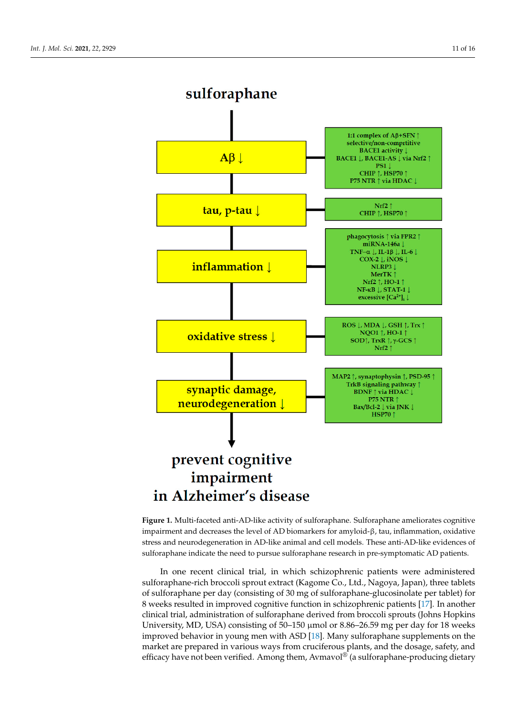<span id="page-10-0"></span>

**Figure 1.** Multi-faceted anti-AD-like activity of sulforaphane. Sulforaphane ameliorates cognitive **Figure 1.** Multi-faceted anti-AD-like activity of sulforaphane. Sulforaphane ameliorates cognitive impairment and decreases the level of AD biomarkers for amyloid-β, tau, inflammation, oxidative impairment and decreases the level of AD biomarkers for amyloid-β, tau, inflammation, oxidative stress and neurodegeneration in AD-like animal and cell models. These anti-AD-like evidences of stress and neurodegeneration in AD-like animal and cell models. These anti-AD-like evidences of sulforaphane indicate the need to pursue sulforaphane research in pre-symptomatic AD patients. sulforaphane indicate the need to pursue sulforaphane research in pre-symptomatic AD patients.

In one recent clinical trial, in which schizophrenic patients were administered sulforaphane-rich broccoli sprout extract (Kagome Co., Ltd., Nagoya, Japan), three tablets of sulforaphane per day (consisting of 30 mg of sulforaphane-glucosinolate per tablet) for 8 weeks resulted in improved cognitive function in schizophrenic patients [\[17\]](#page-12-20). In another clinical trial, administration of sulforaphane derived from broccoli sprouts (Johns Hopkins University, MD, USA) consisting of 50–150 µmol or 8.86–26.59 mg per day for 18 weeks improved behavior in young men with ASD [\[18\]](#page-12-21). Many sulforaphane supplements on the market are prepared in various ways from cruciferous plants, and the dosage, safety, and efficacy have not been verified. Among them, Avmavol® (a sulforaphane-producing dietary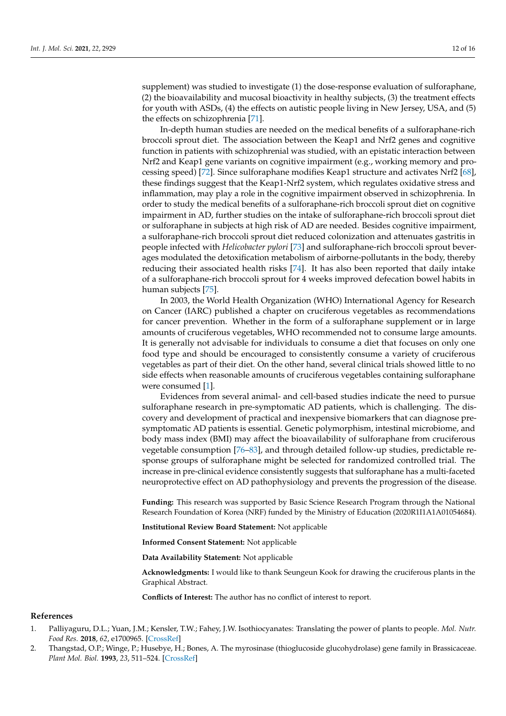supplement) was studied to investigate (1) the dose-response evaluation of sulforaphane, (2) the bioavailability and mucosal bioactivity in healthy subjects, (3) the treatment effects for youth with ASDs, (4) the effects on autistic people living in New Jersey, USA, and (5) the effects on schizophrenia [\[71\]](#page-14-18).

In-depth human studies are needed on the medical benefits of a sulforaphane-rich broccoli sprout diet. The association between the Keap1 and Nrf2 genes and cognitive function in patients with schizophrenial was studied, with an epistatic interaction between Nrf2 and Keap1 gene variants on cognitive impairment (e.g., working memory and processing speed) [\[72\]](#page-14-19). Since sulforaphane modifies Keap1 structure and activates Nrf2 [\[68\]](#page-14-15), these findings suggest that the Keap1-Nrf2 system, which regulates oxidative stress and inflammation, may play a role in the cognitive impairment observed in schizophrenia. In order to study the medical benefits of a sulforaphane-rich broccoli sprout diet on cognitive impairment in AD, further studies on the intake of sulforaphane-rich broccoli sprout diet or sulforaphane in subjects at high risk of AD are needed. Besides cognitive impairment, a sulforaphane-rich broccoli sprout diet reduced colonization and attenuates gastritis in people infected with *Helicobacter pylori* [\[73\]](#page-14-20) and sulforaphane-rich broccoli sprout beverages modulated the detoxification metabolism of airborne-pollutants in the body, thereby reducing their associated health risks [\[74\]](#page-14-21). It has also been reported that daily intake of a sulforaphane-rich broccoli sprout for 4 weeks improved defecation bowel habits in human subjects [\[75\]](#page-15-0).

In 2003, the World Health Organization (WHO) International Agency for Research on Cancer (IARC) published a chapter on cruciferous vegetables as recommendations for cancer prevention. Whether in the form of a sulforaphane supplement or in large amounts of cruciferous vegetables, WHO recommended not to consume large amounts. It is generally not advisable for individuals to consume a diet that focuses on only one food type and should be encouraged to consistently consume a variety of cruciferous vegetables as part of their diet. On the other hand, several clinical trials showed little to no side effects when reasonable amounts of cruciferous vegetables containing sulforaphane were consumed [\[1\]](#page-11-0).

Evidences from several animal- and cell-based studies indicate the need to pursue sulforaphane research in pre-symptomatic AD patients, which is challenging. The discovery and development of practical and inexpensive biomarkers that can diagnose presymptomatic AD patients is essential. Genetic polymorphism, intestinal microbiome, and body mass index (BMI) may affect the bioavailability of sulforaphane from cruciferous vegetable consumption [\[76](#page-15-1)[–83\]](#page-15-2), and through detailed follow-up studies, predictable response groups of sulforaphane might be selected for randomized controlled trial. The increase in pre-clinical evidence consistently suggests that sulforaphane has a multi-faceted neuroprotective effect on AD pathophysiology and prevents the progression of the disease.

**Funding:** This research was supported by Basic Science Research Program through the National Research Foundation of Korea (NRF) funded by the Ministry of Education (2020R1I1A1A01054684).

**Institutional Review Board Statement:** Not applicable

**Informed Consent Statement:** Not applicable

**Data Availability Statement:** Not applicable

**Acknowledgments:** I would like to thank Seungeun Kook for drawing the cruciferous plants in the Graphical Abstract.

**Conflicts of Interest:** The author has no conflict of interest to report.

#### **References**

- <span id="page-11-0"></span>1. Palliyaguru, D.L.; Yuan, J.M.; Kensler, T.W.; Fahey, J.W. Isothiocyanates: Translating the power of plants to people. *Mol. Nutr. Food Res.* **2018**, *62*, e1700965. [\[CrossRef\]](http://doi.org/10.1002/mnfr.201700965)
- <span id="page-11-1"></span>2. Thangstad, O.P.; Winge, P.; Husebye, H.; Bones, A. The myrosinase (thioglucoside glucohydrolase) gene family in Brassicaceae. *Plant Mol. Biol.* **1993**, *23*, 511–524. [\[CrossRef\]](http://doi.org/10.1007/BF00019299)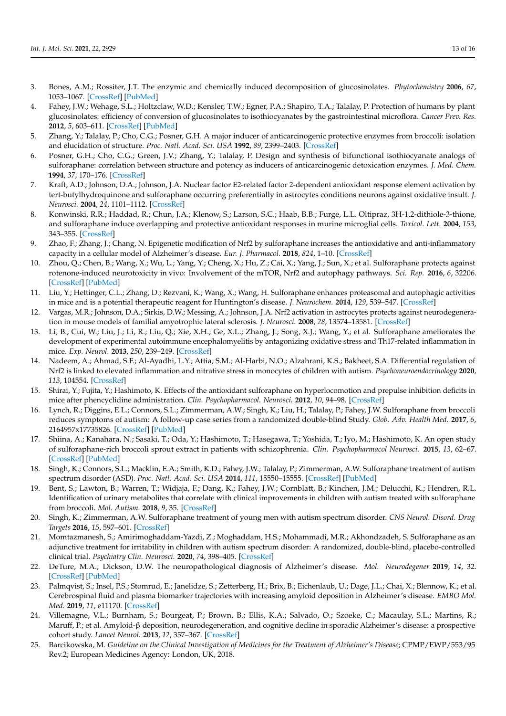- <span id="page-12-0"></span>3. Bones, A.M.; Rossiter, J.T. The enzymic and chemically induced decomposition of glucosinolates. *Phytochemistry* **2006**, *67*, 1053–1067. [\[CrossRef\]](http://doi.org/10.1016/j.phytochem.2006.02.024) [\[PubMed\]](http://www.ncbi.nlm.nih.gov/pubmed/16624350)
- <span id="page-12-1"></span>4. Fahey, J.W.; Wehage, S.L.; Holtzclaw, W.D.; Kensler, T.W.; Egner, P.A.; Shapiro, T.A.; Talalay, P. Protection of humans by plant glucosinolates: efficiency of conversion of glucosinolates to isothiocyanates by the gastrointestinal microflora. *Cancer Prev. Res.* **2012**, *5*, 603–611. [\[CrossRef\]](http://doi.org/10.1158/1940-6207.CAPR-11-0538) [\[PubMed\]](http://www.ncbi.nlm.nih.gov/pubmed/22318753)
- <span id="page-12-2"></span>5. Zhang, Y.; Talalay, P.; Cho, C.G.; Posner, G.H. A major inducer of anticarcinogenic protective enzymes from broccoli: isolation and elucidation of structure. *Proc. Natl. Acad. Sci. USA* **1992**, *89*, 2399–2403. [\[CrossRef\]](http://doi.org/10.1073/pnas.89.6.2399)
- <span id="page-12-3"></span>6. Posner, G.H.; Cho, C.G.; Green, J.V.; Zhang, Y.; Talalay, P. Design and synthesis of bifunctional isothiocyanate analogs of sulforaphane: correlation between structure and potency as inducers of anticarcinogenic detoxication enzymes. *J. Med. Chem.* **1994**, *37*, 170–176. [\[CrossRef\]](http://doi.org/10.1021/jm00027a021)
- <span id="page-12-4"></span>7. Kraft, A.D.; Johnson, D.A.; Johnson, J.A. Nuclear factor E2-related factor 2-dependent antioxidant response element activation by tert-butylhydroquinone and sulforaphane occurring preferentially in astrocytes conditions neurons against oxidative insult. *J. Neurosci.* **2004**, *24*, 1101–1112. [\[CrossRef\]](http://doi.org/10.1523/JNEUROSCI.3817-03.2004)
- <span id="page-12-5"></span>8. Konwinski, R.R.; Haddad, R.; Chun, J.A.; Klenow, S.; Larson, S.C.; Haab, B.B.; Furge, L.L. Oltipraz, 3H-1,2-dithiole-3-thione, and sulforaphane induce overlapping and protective antioxidant responses in murine microglial cells. *Toxicol. Lett.* **2004**, *153*, 343–355. [\[CrossRef\]](http://doi.org/10.1016/j.toxlet.2004.06.006)
- <span id="page-12-6"></span>9. Zhao, F.; Zhang, J.; Chang, N. Epigenetic modification of Nrf2 by sulforaphane increases the antioxidative and anti-inflammatory capacity in a cellular model of Alzheimer's disease. *Eur. J. Pharmacol.* **2018**, *824*, 1–10. [\[CrossRef\]](http://doi.org/10.1016/j.ejphar.2018.01.046)
- <span id="page-12-7"></span>10. Zhou, Q.; Chen, B.; Wang, X.; Wu, L.; Yang, Y.; Cheng, X.; Hu, Z.; Cai, X.; Yang, J.; Sun, X.; et al. Sulforaphane protects against rotenone-induced neurotoxicity in vivo: Involvement of the mTOR, Nrf2 and autophagy pathways. *Sci. Rep.* **2016**, *6*, 32206. [\[CrossRef\]](http://doi.org/10.1038/srep32206) [\[PubMed\]](http://www.ncbi.nlm.nih.gov/pubmed/27553905)
- <span id="page-12-8"></span>11. Liu, Y.; Hettinger, C.L.; Zhang, D.; Rezvani, K.; Wang, X.; Wang, H. Sulforaphane enhances proteasomal and autophagic activities in mice and is a potential therapeutic reagent for Huntington's disease. *J. Neurochem.* **2014**, *129*, 539–547. [\[CrossRef\]](http://doi.org/10.1111/jnc.12647)
- <span id="page-12-9"></span>12. Vargas, M.R.; Johnson, D.A.; Sirkis, D.W.; Messing, A.; Johnson, J.A. Nrf2 activation in astrocytes protects against neurodegeneration in mouse models of familial amyotrophic lateral sclerosis. *J. Neurosci.* **2008**, *28*, 13574–13581. [\[CrossRef\]](http://doi.org/10.1523/JNEUROSCI.4099-08.2008)
- <span id="page-12-10"></span>13. Li, B.; Cui, W.; Liu, J.; Li, R.; Liu, Q.; Xie, X.H.; Ge, X.L.; Zhang, J.; Song, X.J.; Wang, Y.; et al. Sulforaphane ameliorates the development of experimental autoimmune encephalomyelitis by antagonizing oxidative stress and Th17-related inflammation in mice. *Exp. Neurol.* **2013**, *250*, 239–249. [\[CrossRef\]](http://doi.org/10.1016/j.expneurol.2013.10.002)
- <span id="page-12-11"></span>14. Nadeem, A.; Ahmad, S.F.; Al-Ayadhi, L.Y.; Attia, S.M.; Al-Harbi, N.O.; Alzahrani, K.S.; Bakheet, S.A. Differential regulation of Nrf2 is linked to elevated inflammation and nitrative stress in monocytes of children with autism. *Psychoneuroendocrinology* **2020**, *113*, 104554. [\[CrossRef\]](http://doi.org/10.1016/j.psyneuen.2019.104554)
- <span id="page-12-12"></span>15. Shirai, Y.; Fujita, Y.; Hashimoto, K. Effects of the antioxidant sulforaphane on hyperlocomotion and prepulse inhibition deficits in mice after phencyclidine administration. *Clin. Psychopharmacol. Neurosci.* **2012**, *10*, 94–98. [\[CrossRef\]](http://doi.org/10.9758/cpn.2012.10.2.94)
- <span id="page-12-13"></span>16. Lynch, R.; Diggins, E.L.; Connors, S.L.; Zimmerman, A.W.; Singh, K.; Liu, H.; Talalay, P.; Fahey, J.W. Sulforaphane from broccoli reduces symptoms of autism: A follow-up case series from a randomized double-blind Study. *Glob. Adv. Health Med.* **2017**, *6*, 2164957x17735826. [\[CrossRef\]](http://doi.org/10.1177/2164957X17735826) [\[PubMed\]](http://www.ncbi.nlm.nih.gov/pubmed/29147630)
- <span id="page-12-20"></span>17. Shiina, A.; Kanahara, N.; Sasaki, T.; Oda, Y.; Hashimoto, T.; Hasegawa, T.; Yoshida, T.; Iyo, M.; Hashimoto, K. An open study of sulforaphane-rich broccoli sprout extract in patients with schizophrenia. *Clin. Psychopharmacol Neurosci.* **2015**, *13*, 62–67. [\[CrossRef\]](http://doi.org/10.9758/cpn.2015.13.1.62) [\[PubMed\]](http://www.ncbi.nlm.nih.gov/pubmed/25912539)
- <span id="page-12-21"></span>18. Singh, K.; Connors, S.L.; Macklin, E.A.; Smith, K.D.; Fahey, J.W.; Talalay, P.; Zimmerman, A.W. Sulforaphane treatment of autism spectrum disorder (ASD). *Proc. Natl. Acad. Sci. USA* **2014**, *111*, 15550–15555. [\[CrossRef\]](http://doi.org/10.1073/pnas.1416940111) [\[PubMed\]](http://www.ncbi.nlm.nih.gov/pubmed/25313065)
- 19. Bent, S.; Lawton, B.; Warren, T.; Widjaja, F.; Dang, K.; Fahey, J.W.; Cornblatt, B.; Kinchen, J.M.; Delucchi, K.; Hendren, R.L. Identification of urinary metabolites that correlate with clinical improvements in children with autism treated with sulforaphane from broccoli. *Mol. Autism.* **2018**, *9*, 35. [\[CrossRef\]](http://doi.org/10.1186/s13229-018-0218-4)
- <span id="page-12-14"></span>20. Singh, K.; Zimmerman, A.W. Sulforaphane treatment of young men with autism spectrum disorder. *CNS Neurol. Disord. Drug Targets* **2016**, *15*, 597–601. [\[CrossRef\]](http://doi.org/10.2174/1871527315666160413122525)
- <span id="page-12-15"></span>21. Momtazmanesh, S.; Amirimoghaddam-Yazdi, Z.; Moghaddam, H.S.; Mohammadi, M.R.; Akhondzadeh, S. Sulforaphane as an adjunctive treatment for irritability in children with autism spectrum disorder: A randomized, double-blind, placebo-controlled clinical trial. *Psychiatry Clin. Neurosci.* **2020**, *74*, 398–405. [\[CrossRef\]](http://doi.org/10.1111/pcn.13016)
- <span id="page-12-16"></span>22. DeTure, M.A.; Dickson, D.W. The neuropathological diagnosis of Alzheimer's disease. *Mol. Neurodegener* **2019**, *14*, 32. [\[CrossRef\]](http://doi.org/10.1186/s13024-019-0333-5) [\[PubMed\]](http://www.ncbi.nlm.nih.gov/pubmed/31375134)
- <span id="page-12-17"></span>23. Palmqvist, S.; Insel, P.S.; Stomrud, E.; Janelidze, S.; Zetterberg, H.; Brix, B.; Eichenlaub, U.; Dage, J.L.; Chai, X.; Blennow, K.; et al. Cerebrospinal fluid and plasma biomarker trajectories with increasing amyloid deposition in Alzheimer's disease. *EMBO Mol. Med.* **2019**, *11*, e11170. [\[CrossRef\]](http://doi.org/10.15252/emmm.201911170)
- <span id="page-12-18"></span>24. Villemagne, V.L.; Burnham, S.; Bourgeat, P.; Brown, B.; Ellis, K.A.; Salvado, O.; Szoeke, C.; Macaulay, S.L.; Martins, R.; Maruff, P.; et al. Amyloid-β deposition, neurodegeneration, and cognitive decline in sporadic Alzheimer's disease: a prospective cohort study. *Lancet Neurol.* **2013**, *12*, 357–367. [\[CrossRef\]](http://doi.org/10.1016/S1474-4422(13)70044-9)
- <span id="page-12-19"></span>25. Barcikowska, M. *Guideline on the Clinical Investigation of Medicines for the Treatment of Alzheimer's Disease*; CPMP/EWP/553/95 Rev.2; European Medicines Agency: London, UK, 2018.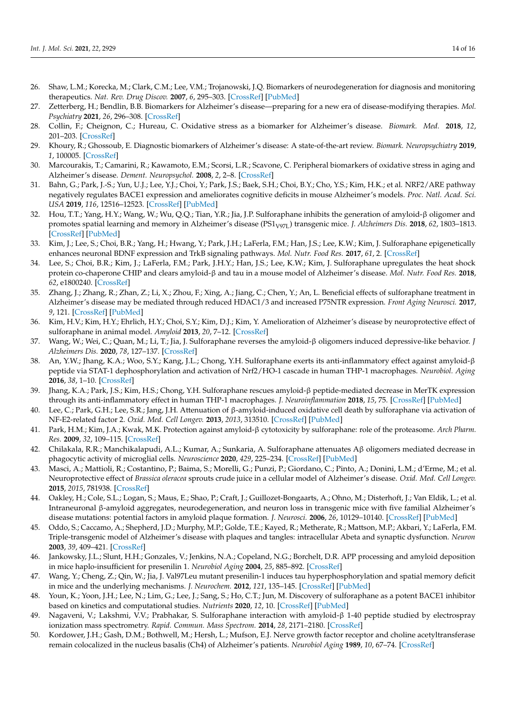- <span id="page-13-0"></span>26. Shaw, L.M.; Korecka, M.; Clark, C.M.; Lee, V.M.; Trojanowski, J.Q. Biomarkers of neurodegeneration for diagnosis and monitoring therapeutics. *Nat. Rev. Drug Discov.* **2007**, *6*, 295–303. [\[CrossRef\]](http://doi.org/10.1038/nrd2176) [\[PubMed\]](http://www.ncbi.nlm.nih.gov/pubmed/17347655)
- <span id="page-13-1"></span>27. Zetterberg, H.; Bendlin, B.B. Biomarkers for Alzheimer's disease—preparing for a new era of disease-modifying therapies. *Mol. Psychiatry* **2021**, *26*, 296–308. [\[CrossRef\]](http://doi.org/10.1038/s41380-020-0721-9)
- 28. Collin, F.; Cheignon, C.; Hureau, C. Oxidative stress as a biomarker for Alzheimer's disease. *Biomark. Med.* **2018**, *12*, 201–203. [\[CrossRef\]](http://doi.org/10.2217/bmm-2017-0456)
- 29. Khoury, R.; Ghossoub, E. Diagnostic biomarkers of Alzheimer's disease: A state-of-the-art review. *Biomark. Neuropsychiatry* **2019**, *1*, 100005. [\[CrossRef\]](http://doi.org/10.1016/j.bionps.2019.100005)
- <span id="page-13-2"></span>30. Marcourakis, T.; Camarini, R.; Kawamoto, E.M.; Scorsi, L.R.; Scavone, C. Peripheral biomarkers of oxidative stress in aging and Alzheimer's disease. *Dement. Neuropsychol.* **2008**, *2*, 2–8. [\[CrossRef\]](http://doi.org/10.1590/S1980-57642009DN20100002)
- <span id="page-13-3"></span>31. Bahn, G.; Park, J.-S.; Yun, U.J.; Lee, Y.J.; Choi, Y.; Park, J.S.; Baek, S.H.; Choi, B.Y.; Cho, Y.S.; Kim, H.K.; et al. NRF2/ARE pathway negatively regulates BACE1 expression and ameliorates cognitive deficits in mouse Alzheimer's models. *Proc. Natl. Acad. Sci. USA* **2019**, *116*, 12516–12523. [\[CrossRef\]](http://doi.org/10.1073/pnas.1819541116) [\[PubMed\]](http://www.ncbi.nlm.nih.gov/pubmed/31164420)
- <span id="page-13-8"></span>32. Hou, T.T.; Yang, H.Y.; Wang, W.; Wu, Q.Q.; Tian, Y.R.; Jia, J.P. Sulforaphane inhibits the generation of amyloid-β oligomer and promotes spatial learning and memory in Alzheimer's disease (PS1<sub>V97L</sub>) transgenic mice. *J. Alzheimers Dis.* 2018, 62, 1803–1813. [\[CrossRef\]](http://doi.org/10.3233/JAD-171110) [\[PubMed\]](http://www.ncbi.nlm.nih.gov/pubmed/29614663)
- <span id="page-13-12"></span>33. Kim, J.; Lee, S.; Choi, B.R.; Yang, H.; Hwang, Y.; Park, J.H.; LaFerla, F.M.; Han, J.S.; Lee, K.W.; Kim, J. Sulforaphane epigenetically enhances neuronal BDNF expression and TrkB signaling pathways. *Mol. Nutr. Food Res.* **2017**, *61*, 2. [\[CrossRef\]](http://doi.org/10.1002/mnfr.201600194)
- <span id="page-13-5"></span>34. Lee, S.; Choi, B.R.; Kim, J.; LaFerla, F.M.; Park, J.H.Y.; Han, J.S.; Lee, K.W.; Kim, J. Sulforaphane upregulates the heat shock protein co-chaperone CHIP and clears amyloid-β and tau in a mouse model of Alzheimer's disease. *Mol. Nutr. Food Res.* **2018**, *62*, e1800240. [\[CrossRef\]](http://doi.org/10.1002/mnfr.201800240)
- <span id="page-13-4"></span>35. Zhang, J.; Zhang, R.; Zhan, Z.; Li, X.; Zhou, F.; Xing, A.; Jiang, C.; Chen, Y.; An, L. Beneficial effects of sulforaphane treatment in Alzheimer's disease may be mediated through reduced HDAC1/3 and increased P75NTR expression. *Front Aging Neurosci.* **2017**, *9*, 121. [\[CrossRef\]](http://doi.org/10.3389/fnagi.2017.00121) [\[PubMed\]](http://www.ncbi.nlm.nih.gov/pubmed/28507518)
- <span id="page-13-6"></span>36. Kim, H.V.; Kim, H.Y.; Ehrlich, H.Y.; Choi, S.Y.; Kim, D.J.; Kim, Y. Amelioration of Alzheimer's disease by neuroprotective effect of sulforaphane in animal model. *Amyloid* **2013**, *20*, 7–12. [\[CrossRef\]](http://doi.org/10.3109/13506129.2012.751367)
- <span id="page-13-7"></span>37. Wang, W.; Wei, C.; Quan, M.; Li, T.; Jia, J. Sulforaphane reverses the amyloid-β oligomers induced depressive-like behavior. *J Alzheimers Dis.* **2020**, *78*, 127–137. [\[CrossRef\]](http://doi.org/10.3233/JAD-200397)
- <span id="page-13-9"></span>38. An, Y.W.; Jhang, K.A.; Woo, S.Y.; Kang, J.L.; Chong, Y.H. Sulforaphane exerts its anti-inflammatory effect against amyloid-β peptide via STAT-1 dephosphorylation and activation of Nrf2/HO-1 cascade in human THP-1 macrophages. *Neurobiol. Aging* **2016**, *38*, 1–10. [\[CrossRef\]](http://doi.org/10.1016/j.neurobiolaging.2015.10.016)
- <span id="page-13-18"></span>39. Jhang, K.A.; Park, J.S.; Kim, H.S.; Chong, Y.H. Sulforaphane rescues amyloid-β peptide-mediated decrease in MerTK expression through its anti-inflammatory effect in human THP-1 macrophages. *J. Neuroinflammation* **2018**, *15*, 75. [\[CrossRef\]](http://doi.org/10.1186/s12974-018-1112-x) [\[PubMed\]](http://www.ncbi.nlm.nih.gov/pubmed/29530050)
- <span id="page-13-16"></span>40. Lee, C.; Park, G.H.; Lee, S.R.; Jang, J.H. Attenuation of β-amyloid-induced oxidative cell death by sulforaphane via activation of NF-E2-related factor 2. *Oxid. Med. Cell Longev.* **2013**, *2013*, 313510. [\[CrossRef\]](http://doi.org/10.1155/2013/313510) [\[PubMed\]](http://www.ncbi.nlm.nih.gov/pubmed/23864927)
- <span id="page-13-17"></span>41. Park, H.M.; Kim, J.A.; Kwak, M.K. Protection against amyloid-β cytotoxicity by sulforaphane: role of the proteasome. *Arch Pharm. Res.* **2009**, *32*, 109–115. [\[CrossRef\]](http://doi.org/10.1007/s12272-009-1124-2)
- <span id="page-13-19"></span>42. Chilakala, R.R.; Manchikalapudi, A.L.; Kumar, A.; Sunkaria, A. Sulforaphane attenuates Aβ oligomers mediated decrease in phagocytic activity of microglial cells. *Neuroscience* **2020**, *429*, 225–234. [\[CrossRef\]](http://doi.org/10.1016/j.neuroscience.2020.01.002) [\[PubMed\]](http://www.ncbi.nlm.nih.gov/pubmed/31982468)
- <span id="page-13-10"></span>43. Masci, A.; Mattioli, R.; Costantino, P.; Baima, S.; Morelli, G.; Punzi, P.; Giordano, C.; Pinto, A.; Donini, L.M.; d'Erme, M.; et al. Neuroprotective effect of *Brassica oleracea* sprouts crude juice in a cellular model of Alzheimer's disease. *Oxid. Med. Cell Longev.* **2015**, *2015*, 781938. [\[CrossRef\]](http://doi.org/10.1155/2015/781938)
- <span id="page-13-11"></span>44. Oakley, H.; Cole, S.L.; Logan, S.; Maus, E.; Shao, P.; Craft, J.; Guillozet-Bongaarts, A.; Ohno, M.; Disterhoft, J.; Van Eldik, L.; et al. Intraneuronal β-amyloid aggregates, neurodegeneration, and neuron loss in transgenic mice with five familial Alzheimer's disease mutations: potential factors in amyloid plaque formation. *J. Neurosci.* **2006**, *26*, 10129–10140. [\[CrossRef\]](http://doi.org/10.1523/JNEUROSCI.1202-06.2006) [\[PubMed\]](http://www.ncbi.nlm.nih.gov/pubmed/17021169)
- <span id="page-13-13"></span>45. Oddo, S.; Caccamo, A.; Shepherd, J.D.; Murphy, M.P.; Golde, T.E.; Kayed, R.; Metherate, R.; Mattson, M.P.; Akbari, Y.; LaFerla, F.M. Triple-transgenic model of Alzheimer's disease with plaques and tangles: intracellular Abeta and synaptic dysfunction. *Neuron* **2003**, *39*, 409–421. [\[CrossRef\]](http://doi.org/10.1016/S0896-6273(03)00434-3)
- <span id="page-13-14"></span>46. Jankowsky, J.L.; Slunt, H.H.; Gonzales, V.; Jenkins, N.A.; Copeland, N.G.; Borchelt, D.R. APP processing and amyloid deposition in mice haplo-insufficient for presenilin 1. *Neurobiol Aging* **2004**, *25*, 885–892. [\[CrossRef\]](http://doi.org/10.1016/j.neurobiolaging.2003.09.008)
- <span id="page-13-15"></span>47. Wang, Y.; Cheng, Z.; Qin, W.; Jia, J. Val97Leu mutant presenilin-1 induces tau hyperphosphorylation and spatial memory deficit in mice and the underlying mechanisms. *J. Neurochem.* **2012**, *121*, 135–145. [\[CrossRef\]](http://doi.org/10.1111/j.1471-4159.2011.07489.x) [\[PubMed\]](http://www.ncbi.nlm.nih.gov/pubmed/21929538)
- <span id="page-13-20"></span>48. Youn, K.; Yoon, J.H.; Lee, N.; Lim, G.; Lee, J.; Sang, S.; Ho, C.T.; Jun, M. Discovery of sulforaphane as a potent BACE1 inhibitor based on kinetics and computational studies. *Nutrients* **2020**, *12*, 10. [\[CrossRef\]](http://doi.org/10.3390/nu12103026) [\[PubMed\]](http://www.ncbi.nlm.nih.gov/pubmed/33023225)
- <span id="page-13-21"></span>49. Nagaveni, V.; Lakshmi, V.V.; Prabhakar, S. Sulforaphane interaction with amyloid-β 1-40 peptide studied by electrospray ionization mass spectrometry. *Rapid. Commun. Mass Spectrom.* **2014**, *28*, 2171–2180. [\[CrossRef\]](http://doi.org/10.1002/rcm.7007)
- <span id="page-13-22"></span>50. Kordower, J.H.; Gash, D.M.; Bothwell, M.; Hersh, L.; Mufson, E.J. Nerve growth factor receptor and choline acetyltransferase remain colocalized in the nucleus basalis (Ch4) of Alzheimer's patients. *Neurobiol Aging* **1989**, *10*, 67–74. [\[CrossRef\]](http://doi.org/10.1016/S0197-4580(89)80013-2)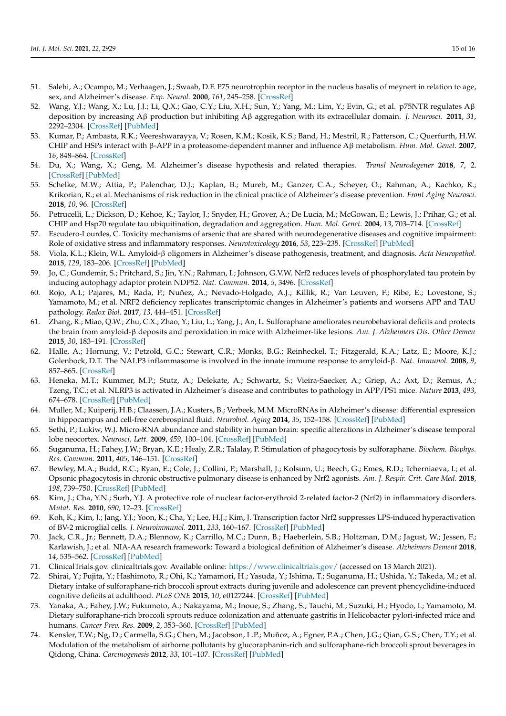- <span id="page-14-0"></span>51. Salehi, A.; Ocampo, M.; Verhaagen, J.; Swaab, D.F. P75 neurotrophin receptor in the nucleus basalis of meynert in relation to age, sex, and Alzheimer's disease. *Exp. Neurol.* **2000**, *161*, 245–258. [\[CrossRef\]](http://doi.org/10.1006/exnr.1999.7252)
- <span id="page-14-1"></span>52. Wang, Y.J.; Wang, X.; Lu, J.J.; Li, Q.X.; Gao, C.Y.; Liu, X.H.; Sun, Y.; Yang, M.; Lim, Y.; Evin, G.; et al. p75NTR regulates Aβ deposition by increasing Aβ production but inhibiting Aβ aggregation with its extracellular domain. *J. Neurosci.* **2011**, *31*, 2292–2304. [\[CrossRef\]](http://doi.org/10.1523/JNEUROSCI.2733-10.2011) [\[PubMed\]](http://www.ncbi.nlm.nih.gov/pubmed/21307265)
- <span id="page-14-2"></span>53. Kumar, P.; Ambasta, R.K.; Veereshwarayya, V.; Rosen, K.M.; Kosik, K.S.; Band, H.; Mestril, R.; Patterson, C.; Querfurth, H.W. CHIP and HSPs interact with β-APP in a proteasome-dependent manner and influence Aβ metabolism. *Hum. Mol. Genet.* **2007**, *16*, 848–864. [\[CrossRef\]](http://doi.org/10.1093/hmg/ddm030)
- <span id="page-14-3"></span>54. Du, X.; Wang, X.; Geng, M. Alzheimer's disease hypothesis and related therapies. *Transl Neurodegener* **2018**, *7*, 2. [\[CrossRef\]](http://doi.org/10.1186/s40035-018-0107-y) [\[PubMed\]](http://www.ncbi.nlm.nih.gov/pubmed/29423193)
- <span id="page-14-4"></span>55. Schelke, M.W.; Attia, P.; Palenchar, D.J.; Kaplan, B.; Mureb, M.; Ganzer, C.A.; Scheyer, O.; Rahman, A.; Kachko, R.; Krikorian, R.; et al. Mechanisms of risk reduction in the clinical practice of Alzheimer's disease prevention. *Front Aging Neurosci.* **2018**, *10*, 96. [\[CrossRef\]](http://doi.org/10.3389/fnagi.2018.00096)
- <span id="page-14-5"></span>56. Petrucelli, L.; Dickson, D.; Kehoe, K.; Taylor, J.; Snyder, H.; Grover, A.; De Lucia, M.; McGowan, E.; Lewis, J.; Prihar, G.; et al. CHIP and Hsp70 regulate tau ubiquitination, degradation and aggregation. *Hum. Mol. Genet.* **2004**, *13*, 703–714. [\[CrossRef\]](http://doi.org/10.1093/hmg/ddh083)
- <span id="page-14-6"></span>57. Escudero-Lourdes, C. Toxicity mechanisms of arsenic that are shared with neurodegenerative diseases and cognitive impairment: Role of oxidative stress and inflammatory responses. *Neurotoxicology* **2016**, *53*, 223–235. [\[CrossRef\]](http://doi.org/10.1016/j.neuro.2016.02.002) [\[PubMed\]](http://www.ncbi.nlm.nih.gov/pubmed/26868456)
- 58. Viola, K.L.; Klein, W.L. Amyloid-β oligomers in Alzheimer's disease pathogenesis, treatment, and diagnosis. *Acta Neuropathol.* **2015**, *129*, 183–206. [\[CrossRef\]](http://doi.org/10.1007/s00401-015-1386-3) [\[PubMed\]](http://www.ncbi.nlm.nih.gov/pubmed/25604547)
- 59. Jo, C.; Gundemir, S.; Pritchard, S.; Jin, Y.N.; Rahman, I.; Johnson, G.V.W. Nrf2 reduces levels of phosphorylated tau protein by inducing autophagy adaptor protein NDP52. *Nat. Commun.* **2014**, *5*, 3496. [\[CrossRef\]](http://doi.org/10.1038/ncomms4496)
- <span id="page-14-7"></span>60. Rojo, A.I.; Pajares, M.; Rada, P.; Nuñez, A.; Nevado-Holgado, A.J.; Killik, R.; Van Leuven, F.; Ribe, E.; Lovestone, S.; Yamamoto, M.; et al. NRF2 deficiency replicates transcriptomic changes in Alzheimer's patients and worsens APP and TAU pathology. *Redox Biol.* **2017**, *13*, 444–451. [\[CrossRef\]](http://doi.org/10.1016/j.redox.2017.07.006)
- <span id="page-14-8"></span>61. Zhang, R.; Miao, Q.W.; Zhu, C.X.; Zhao, Y.; Liu, L.; Yang, J.; An, L. Sulforaphane ameliorates neurobehavioral deficits and protects the brain from amyloid-β deposits and peroxidation in mice with Alzheimer-like lesions. *Am. J. Alzheimers Dis. Other Demen* **2015**, *30*, 183–191. [\[CrossRef\]](http://doi.org/10.1177/1533317514542645)
- <span id="page-14-9"></span>62. Halle, A.; Hornung, V.; Petzold, G.C.; Stewart, C.R.; Monks, B.G.; Reinheckel, T.; Fitzgerald, K.A.; Latz, E.; Moore, K.J.; Golenbock, D.T. The NALP3 inflammasome is involved in the innate immune response to amyloid-β. *Nat. Immunol.* **2008**, *9*, 857–865. [\[CrossRef\]](http://doi.org/10.1038/ni.1636)
- <span id="page-14-10"></span>63. Heneka, M.T.; Kummer, M.P.; Stutz, A.; Delekate, A.; Schwartz, S.; Vieira-Saecker, A.; Griep, A.; Axt, D.; Remus, A.; Tzeng, T.C.; et al. NLRP3 is activated in Alzheimer's disease and contributes to pathology in APP/PS1 mice. *Nature* **2013**, *493*, 674–678. [\[CrossRef\]](http://doi.org/10.1038/nature11729) [\[PubMed\]](http://www.ncbi.nlm.nih.gov/pubmed/23254930)
- <span id="page-14-11"></span>64. Muller, M.; Kuiperij, H.B.; Claassen, J.A.; Kusters, B.; Verbeek, M.M. MicroRNAs in Alzheimer's disease: differential expression in hippocampus and cell-free cerebrospinal fluid. *Neurobiol. Aging* **2014**, *35*, 152–158. [\[CrossRef\]](http://doi.org/10.1016/j.neurobiolaging.2013.07.005) [\[PubMed\]](http://www.ncbi.nlm.nih.gov/pubmed/23962497)
- <span id="page-14-12"></span>65. Sethi, P.; Lukiw, W.J. Micro-RNA abundance and stability in human brain: specific alterations in Alzheimer's disease temporal lobe neocortex. *Neurosci. Lett.* **2009**, *459*, 100–104. [\[CrossRef\]](http://doi.org/10.1016/j.neulet.2009.04.052) [\[PubMed\]](http://www.ncbi.nlm.nih.gov/pubmed/19406203)
- <span id="page-14-13"></span>66. Suganuma, H.; Fahey, J.W.; Bryan, K.E.; Healy, Z.R.; Talalay, P. Stimulation of phagocytosis by sulforaphane. *Biochem. Biophys. Res. Commun.* **2011**, *405*, 146–151. [\[CrossRef\]](http://doi.org/10.1016/j.bbrc.2011.01.025)
- <span id="page-14-14"></span>67. Bewley, M.A.; Budd, R.C.; Ryan, E.; Cole, J.; Collini, P.; Marshall, J.; Kolsum, U.; Beech, G.; Emes, R.D.; Tcherniaeva, I.; et al. Opsonic phagocytosis in chronic obstructive pulmonary disease is enhanced by Nrf2 agonists. *Am. J. Respir. Crit. Care Med.* **2018**, *198*, 739–750. [\[CrossRef\]](http://doi.org/10.1164/rccm.201705-0903OC) [\[PubMed\]](http://www.ncbi.nlm.nih.gov/pubmed/29547002)
- <span id="page-14-15"></span>68. Kim, J.; Cha, Y.N.; Surh, Y.J. A protective role of nuclear factor-erythroid 2-related factor-2 (Nrf2) in inflammatory disorders. *Mutat. Res.* **2010**, *690*, 12–23. [\[CrossRef\]](http://doi.org/10.1016/j.mrfmmm.2009.09.007)
- <span id="page-14-16"></span>69. Koh, K.; Kim, J.; Jang, Y.J.; Yoon, K.; Cha, Y.; Lee, H.J.; Kim, J. Transcription factor Nrf2 suppresses LPS-induced hyperactivation of BV-2 microglial cells. *J. Neuroimmunol.* **2011**, *233*, 160–167. [\[CrossRef\]](http://doi.org/10.1016/j.jneuroim.2011.01.004) [\[PubMed\]](http://www.ncbi.nlm.nih.gov/pubmed/21349591)
- <span id="page-14-17"></span>70. Jack, C.R., Jr.; Bennett, D.A.; Blennow, K.; Carrillo, M.C.; Dunn, B.; Haeberlein, S.B.; Holtzman, D.M.; Jagust, W.; Jessen, F.; Karlawish, J.; et al. NIA-AA research framework: Toward a biological definition of Alzheimer's disease. *Alzheimers Dement* **2018**, *14*, 535–562. [\[CrossRef\]](http://doi.org/10.1016/j.jalz.2018.02.018) [\[PubMed\]](http://www.ncbi.nlm.nih.gov/pubmed/29653606)
- <span id="page-14-18"></span>71. ClinicalTrials.gov. clinicaltrials.gov. Available online: <https://www.clinicaltrials.gov/> (accessed on 13 March 2021).
- <span id="page-14-19"></span>72. Shirai, Y.; Fujita, Y.; Hashimoto, R.; Ohi, K.; Yamamori, H.; Yasuda, Y.; Ishima, T.; Suganuma, H.; Ushida, Y.; Takeda, M.; et al. Dietary intake of sulforaphane-rich broccoli sprout extracts during juvenile and adolescence can prevent phencyclidine-induced cognitive deficits at adulthood. *PLoS ONE* **2015**, *10*, e0127244. [\[CrossRef\]](http://doi.org/10.1371/journal.pone.0127244) [\[PubMed\]](http://www.ncbi.nlm.nih.gov/pubmed/26107664)
- <span id="page-14-20"></span>73. Yanaka, A.; Fahey, J.W.; Fukumoto, A.; Nakayama, M.; Inoue, S.; Zhang, S.; Tauchi, M.; Suzuki, H.; Hyodo, I.; Yamamoto, M. Dietary sulforaphane-rich broccoli sprouts reduce colonization and attenuate gastritis in Helicobacter pylori-infected mice and humans. *Cancer Prev. Res.* **2009**, *2*, 353–360. [\[CrossRef\]](http://doi.org/10.1158/1940-6207.CAPR-08-0192) [\[PubMed\]](http://www.ncbi.nlm.nih.gov/pubmed/19349290)
- <span id="page-14-21"></span>74. Kensler, T.W.; Ng, D.; Carmella, S.G.; Chen, M.; Jacobson, L.P.; Muñoz, A.; Egner, P.A.; Chen, J.G.; Qian, G.S.; Chen, T.Y.; et al. Modulation of the metabolism of airborne pollutants by glucoraphanin-rich and sulforaphane-rich broccoli sprout beverages in Qidong, China. *Carcinogenesis* **2012**, *33*, 101–107. [\[CrossRef\]](http://doi.org/10.1093/carcin/bgr229) [\[PubMed\]](http://www.ncbi.nlm.nih.gov/pubmed/22045030)